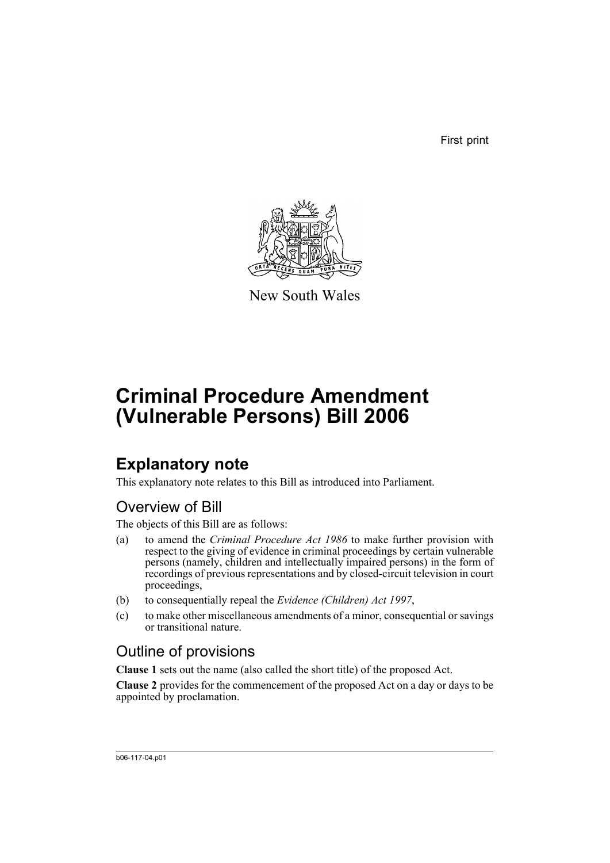First print



New South Wales

# **Criminal Procedure Amendment (Vulnerable Persons) Bill 2006**

## **Explanatory note**

This explanatory note relates to this Bill as introduced into Parliament.

## Overview of Bill

The objects of this Bill are as follows:

- (a) to amend the *Criminal Procedure Act 1986* to make further provision with respect to the giving of evidence in criminal proceedings by certain vulnerable persons (namely, children and intellectually impaired persons) in the form of recordings of previous representations and by closed-circuit television in court proceedings,
- (b) to consequentially repeal the *Evidence (Children) Act 1997*,
- (c) to make other miscellaneous amendments of a minor, consequential or savings or transitional nature.

## Outline of provisions

**Clause 1** sets out the name (also called the short title) of the proposed Act.

**Clause 2** provides for the commencement of the proposed Act on a day or days to be appointed by proclamation.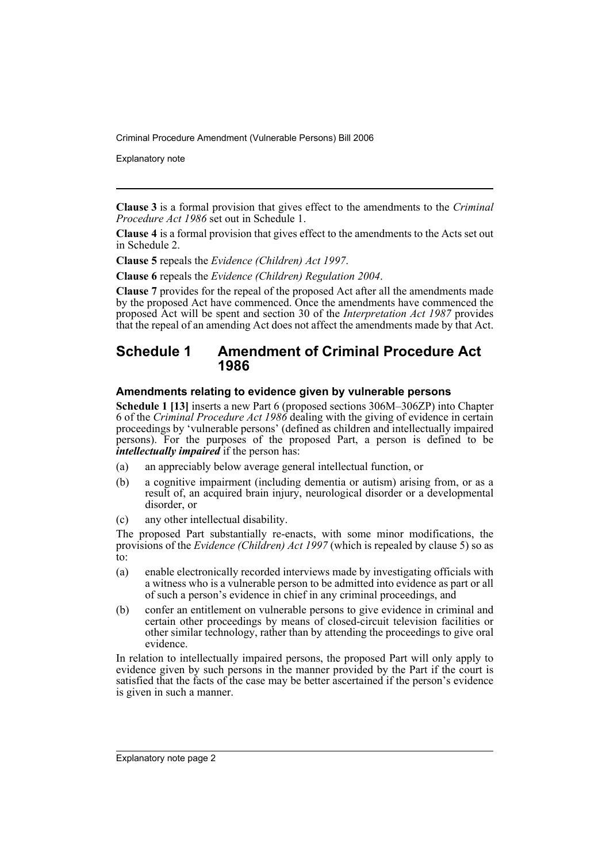Explanatory note

**Clause 3** is a formal provision that gives effect to the amendments to the *Criminal Procedure Act 1986* set out in Schedule 1.

**Clause 4** is a formal provision that gives effect to the amendments to the Acts set out in Schedule 2.

**Clause 5** repeals the *Evidence (Children) Act 1997*.

**Clause 6** repeals the *Evidence (Children) Regulation 2004*.

**Clause 7** provides for the repeal of the proposed Act after all the amendments made by the proposed Act have commenced. Once the amendments have commenced the proposed Act will be spent and section 30 of the *Interpretation Act 1987* provides that the repeal of an amending Act does not affect the amendments made by that Act.

### **Schedule 1 Amendment of Criminal Procedure Act 1986**

#### **Amendments relating to evidence given by vulnerable persons**

**Schedule 1 [13]** inserts a new Part 6 (proposed sections 306M–306ZP) into Chapter 6 of the *Criminal Procedure Act 1986* dealing with the giving of evidence in certain proceedings by 'vulnerable persons' (defined as children and intellectually impaired persons). For the purposes of the proposed Part, a person is defined to be *intellectually impaired* if the person has:

- (a) an appreciably below average general intellectual function, or
- (b) a cognitive impairment (including dementia or autism) arising from, or as a result of, an acquired brain injury, neurological disorder or a developmental disorder, or
- (c) any other intellectual disability.

The proposed Part substantially re-enacts, with some minor modifications, the provisions of the *Evidence (Children) Act 1997* (which is repealed by clause 5) so as  $\overline{t}$ o:

- (a) enable electronically recorded interviews made by investigating officials with a witness who is a vulnerable person to be admitted into evidence as part or all of such a person's evidence in chief in any criminal proceedings, and
- (b) confer an entitlement on vulnerable persons to give evidence in criminal and certain other proceedings by means of closed-circuit television facilities or other similar technology, rather than by attending the proceedings to give oral evidence.

In relation to intellectually impaired persons, the proposed Part will only apply to evidence given by such persons in the manner provided by the Part if the court is satisfied that the facts of the case may be better ascertained if the person's evidence is given in such a manner.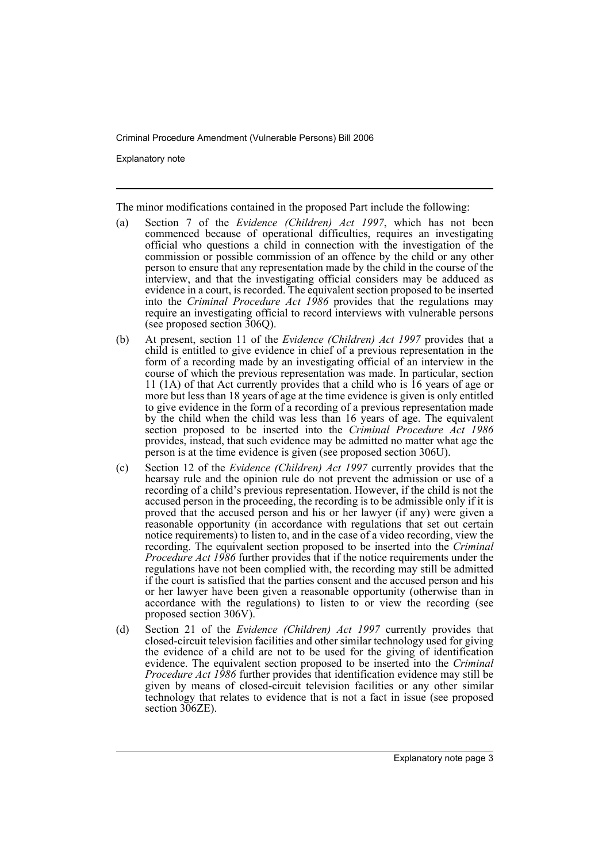Explanatory note

The minor modifications contained in the proposed Part include the following:

- (a) Section 7 of the *Evidence (Children) Act 1997*, which has not been commenced because of operational difficulties, requires an investigating official who questions a child in connection with the investigation of the commission or possible commission of an offence by the child or any other person to ensure that any representation made by the child in the course of the interview, and that the investigating official considers may be adduced as evidence in a court, is recorded. The equivalent section proposed to be inserted into the *Criminal Procedure Act 1986* provides that the regulations may require an investigating official to record interviews with vulnerable persons (see proposed section 306Q).
- (b) At present, section 11 of the *Evidence (Children) Act 1997* provides that a child is entitled to give evidence in chief of a previous representation in the form of a recording made by an investigating official of an interview in the course of which the previous representation was made. In particular, section 11 (1A) of that Act currently provides that a child who is 16 years of age or more but less than 18 years of age at the time evidence is given is only entitled to give evidence in the form of a recording of a previous representation made by the child when the child was less than 16 years of age. The equivalent section proposed to be inserted into the *Criminal Procedure Act 1986* provides, instead, that such evidence may be admitted no matter what age the person is at the time evidence is given (see proposed section 306U).
- (c) Section 12 of the *Evidence (Children) Act 1997* currently provides that the hearsay rule and the opinion rule do not prevent the admission or use of a recording of a child's previous representation. However, if the child is not the accused person in the proceeding, the recording is to be admissible only if it is proved that the accused person and his or her lawyer (if any) were given a reasonable opportunity (in accordance with regulations that set out certain notice requirements) to listen to, and in the case of a video recording, view the recording. The equivalent section proposed to be inserted into the *Criminal Procedure Act 1986* further provides that if the notice requirements under the regulations have not been complied with, the recording may still be admitted if the court is satisfied that the parties consent and the accused person and his or her lawyer have been given a reasonable opportunity (otherwise than in accordance with the regulations) to listen to or view the recording (see proposed section 306V).
- (d) Section 21 of the *Evidence (Children) Act 1997* currently provides that closed-circuit television facilities and other similar technology used for giving the evidence of a child are not to be used for the giving of identification evidence. The equivalent section proposed to be inserted into the *Criminal Procedure Act 1986* further provides that identification evidence may still be given by means of closed-circuit television facilities or any other similar technology that relates to evidence that is not a fact in issue (see proposed section 306ZE).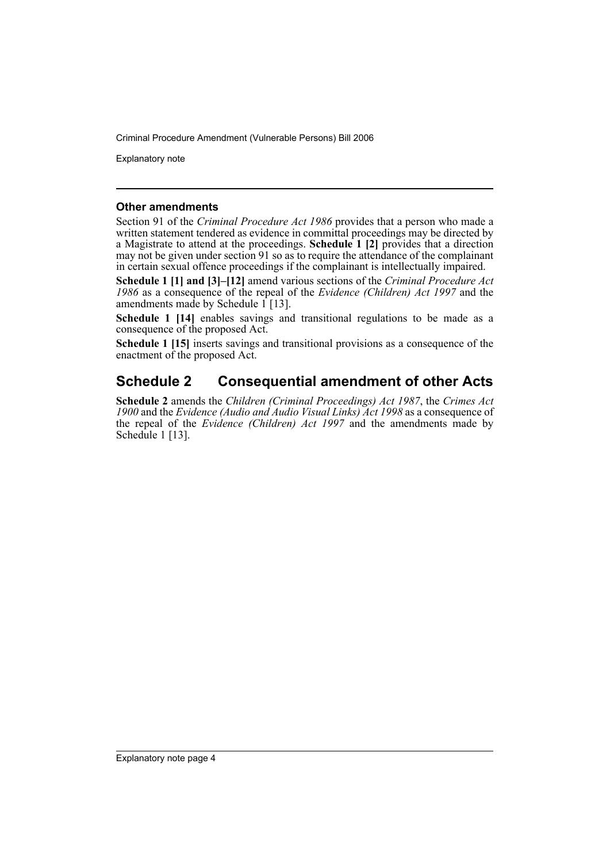Explanatory note

#### **Other amendments**

Section 91 of the *Criminal Procedure Act 1986* provides that a person who made a written statement tendered as evidence in committal proceedings may be directed by a Magistrate to attend at the proceedings. **Schedule 1 [2]** provides that a direction may not be given under section 91 so as to require the attendance of the complainant in certain sexual offence proceedings if the complainant is intellectually impaired.

**Schedule 1 [1] and [3]–[12]** amend various sections of the *Criminal Procedure Act 1986* as a consequence of the repeal of the *Evidence (Children) Act 1997* and the amendments made by Schedule  $1$  [13].

Schedule 1 [14] enables savings and transitional regulations to be made as a consequence of the proposed Act.

**Schedule 1 [15]** inserts savings and transitional provisions as a consequence of the enactment of the proposed Act.

## **Schedule 2 Consequential amendment of other Acts**

**Schedule 2** amends the *Children (Criminal Proceedings) Act 1987*, the *Crimes Act 1900* and the *Evidence (Audio and Audio Visual Links) Act 1998* as a consequence of the repeal of the *Evidence (Children) Act 1997* and the amendments made by Schedule 1 [13].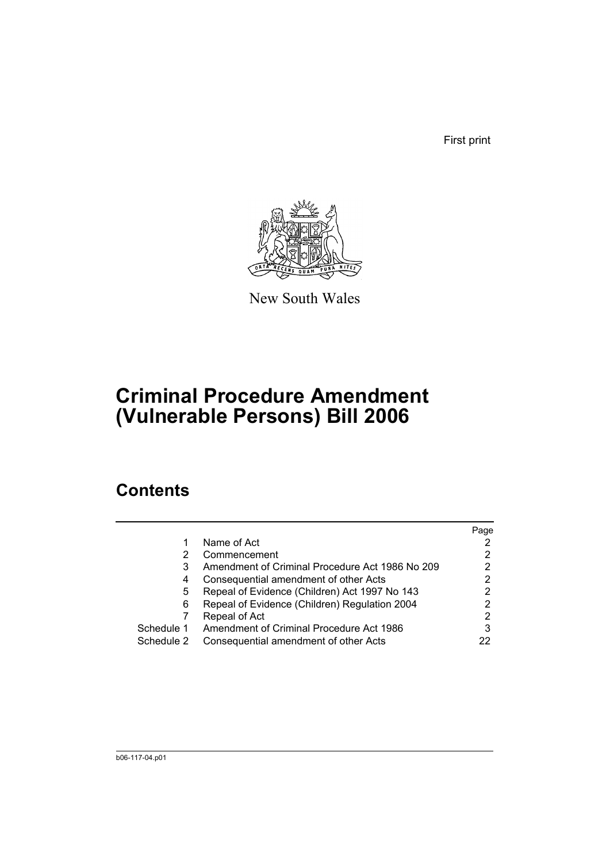First print



New South Wales

# **Criminal Procedure Amendment (Vulnerable Persons) Bill 2006**

## **Contents**

|            |                                                 | Page |
|------------|-------------------------------------------------|------|
|            | Name of Act                                     |      |
|            | Commencement                                    | 2    |
| 3          | Amendment of Criminal Procedure Act 1986 No 209 |      |
| 4          | Consequential amendment of other Acts           | 2    |
| 5          | Repeal of Evidence (Children) Act 1997 No 143   | 2    |
| 6          | Repeal of Evidence (Children) Regulation 2004   |      |
|            | Repeal of Act                                   | 2    |
| Schedule 1 | Amendment of Criminal Procedure Act 1986        | 3    |
| Schedule 2 | Consequential amendment of other Acts           |      |
|            |                                                 |      |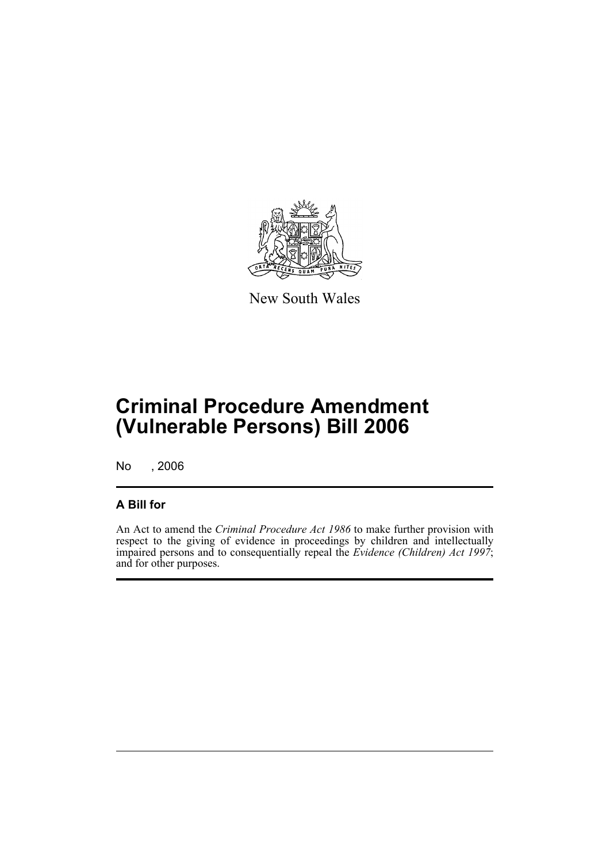

New South Wales

# **Criminal Procedure Amendment (Vulnerable Persons) Bill 2006**

No , 2006

### **A Bill for**

An Act to amend the *Criminal Procedure Act 1986* to make further provision with respect to the giving of evidence in proceedings by children and intellectually impaired persons and to consequentially repeal the *Evidence (Children) Act 1997*; and for other purposes.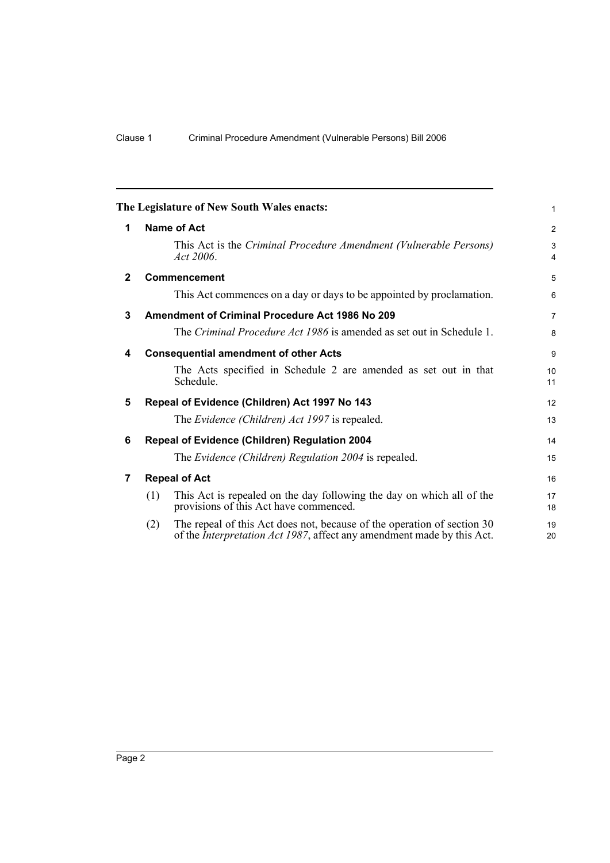<span id="page-7-6"></span><span id="page-7-5"></span><span id="page-7-4"></span><span id="page-7-3"></span><span id="page-7-2"></span><span id="page-7-1"></span><span id="page-7-0"></span>

|              | The Legislature of New South Wales enacts:                                                                                                                       | $\mathbf{1}$                 |  |  |  |
|--------------|------------------------------------------------------------------------------------------------------------------------------------------------------------------|------------------------------|--|--|--|
| 1            | <b>Name of Act</b>                                                                                                                                               |                              |  |  |  |
|              | This Act is the Criminal Procedure Amendment (Vulnerable Persons)<br>Act 2006.                                                                                   | 3<br>$\overline{\mathbf{4}}$ |  |  |  |
| $\mathbf{2}$ | <b>Commencement</b>                                                                                                                                              | 5                            |  |  |  |
|              | This Act commences on a day or days to be appointed by proclamation.                                                                                             | 6                            |  |  |  |
| 3            | <b>Amendment of Criminal Procedure Act 1986 No 209</b>                                                                                                           | $\overline{7}$               |  |  |  |
|              | The Criminal Procedure Act 1986 is amended as set out in Schedule 1.                                                                                             | 8                            |  |  |  |
| 4            | <b>Consequential amendment of other Acts</b>                                                                                                                     | 9                            |  |  |  |
|              | The Acts specified in Schedule 2 are amended as set out in that<br>Schedule.                                                                                     | 10<br>11                     |  |  |  |
| 5            | Repeal of Evidence (Children) Act 1997 No 143                                                                                                                    | 12                           |  |  |  |
|              | The Evidence (Children) Act 1997 is repealed.                                                                                                                    | 13                           |  |  |  |
| 6            | Repeal of Evidence (Children) Regulation 2004                                                                                                                    | 14                           |  |  |  |
|              | The Evidence (Children) Regulation 2004 is repealed.                                                                                                             | 15                           |  |  |  |
| 7            | <b>Repeal of Act</b>                                                                                                                                             | 16                           |  |  |  |
|              | This Act is repealed on the day following the day on which all of the<br>(1)<br>provisions of this Act have commenced.                                           | 17<br>18                     |  |  |  |
|              | The repeal of this Act does not, because of the operation of section 30<br>(2)<br>of the <i>Interpretation Act 1987</i> , affect any amendment made by this Act. | 19<br>20                     |  |  |  |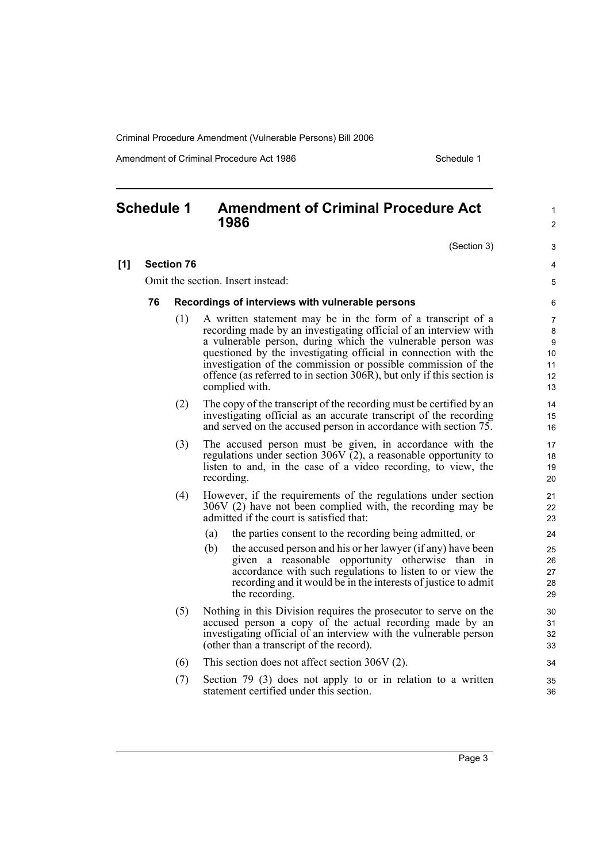Amendment of Criminal Procedure Act 1986 Schedule 1

### <span id="page-8-0"></span>**Schedule 1 Amendment of Criminal Procedure Act 1986**

(Section 3)

1  $\mathfrak{p}$ 

3 4 5

#### **[1] Section 76**

Omit the section. Insert instead:

#### **76 Recordings of interviews with vulnerable persons**

- (1) A written statement may be in the form of a transcript of a recording made by an investigating official of an interview with a vulnerable person, during which the vulnerable person was questioned by the investigating official in connection with the investigation of the commission or possible commission of the offence (as referred to in section 306R), but only if this section is complied with.
- (2) The copy of the transcript of the recording must be certified by an investigating official as an accurate transcript of the recording and served on the accused person in accordance with section 75.
- (3) The accused person must be given, in accordance with the regulations under section 306V  $\check{c}$ 2), a reasonable opportunity to listen to and, in the case of a video recording, to view, the recording.
- (4) However, if the requirements of the regulations under section 306V (2) have not been complied with, the recording may be admitted if the court is satisfied that:
	- (a) the parties consent to the recording being admitted, or
	- (b) the accused person and his or her lawyer (if any) have been given a reasonable opportunity otherwise than in accordance with such regulations to listen to or view the recording and it would be in the interests of justice to admit the recording.
- (5) Nothing in this Division requires the prosecutor to serve on the accused person a copy of the actual recording made by an investigating official of an interview with the vulnerable person (other than a transcript of the record).
- (6) This section does not affect section 306V (2).
- (7) Section 79 (3) does not apply to or in relation to a written statement certified under this section.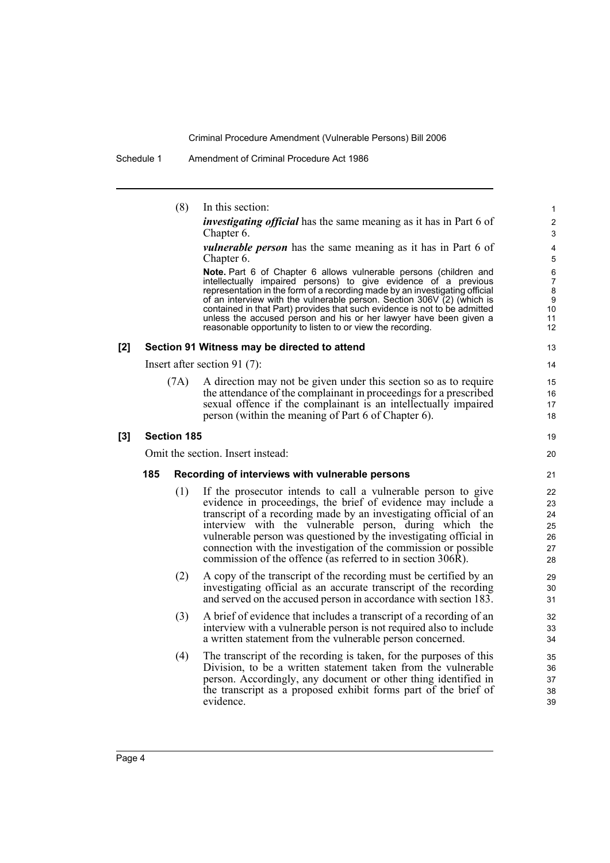Schedule 1 Amendment of Criminal Procedure Act 1986

|     |     | (8)                | In this section:                                                                                                                                                                                                                                                                                                                                                                                                                                                                                                | 1                                                                  |
|-----|-----|--------------------|-----------------------------------------------------------------------------------------------------------------------------------------------------------------------------------------------------------------------------------------------------------------------------------------------------------------------------------------------------------------------------------------------------------------------------------------------------------------------------------------------------------------|--------------------------------------------------------------------|
|     |     |                    | <i>investigating official</i> has the same meaning as it has in Part 6 of<br>Chapter 6.                                                                                                                                                                                                                                                                                                                                                                                                                         | $\overline{2}$<br>3                                                |
|     |     |                    | <i>vulnerable person</i> has the same meaning as it has in Part 6 of<br>Chapter 6.                                                                                                                                                                                                                                                                                                                                                                                                                              | 4<br>5                                                             |
|     |     |                    | Note. Part 6 of Chapter 6 allows vulnerable persons (children and<br>intellectually impaired persons) to give evidence of a previous<br>representation in the form of a recording made by an investigating official<br>of an interview with the vulnerable person. Section 306V $(2)$ (which is<br>contained in that Part) provides that such evidence is not to be admitted<br>unless the accused person and his or her lawyer have been given a<br>reasonable opportunity to listen to or view the recording. | $\,6$<br>$\overline{7}$<br>8<br>$\boldsymbol{9}$<br>10<br>11<br>12 |
| [2] |     |                    | Section 91 Witness may be directed to attend                                                                                                                                                                                                                                                                                                                                                                                                                                                                    | 13                                                                 |
|     |     |                    | Insert after section 91 $(7)$ :                                                                                                                                                                                                                                                                                                                                                                                                                                                                                 | 14                                                                 |
|     |     | (7A)               | A direction may not be given under this section so as to require<br>the attendance of the complainant in proceedings for a prescribed<br>sexual offence if the complainant is an intellectually impaired<br>person (within the meaning of Part 6 of Chapter 6).                                                                                                                                                                                                                                                 | 15<br>16<br>17<br>18                                               |
| [3] |     | <b>Section 185</b> |                                                                                                                                                                                                                                                                                                                                                                                                                                                                                                                 | 19                                                                 |
|     |     |                    | Omit the section. Insert instead:                                                                                                                                                                                                                                                                                                                                                                                                                                                                               | 20                                                                 |
|     | 185 |                    | Recording of interviews with vulnerable persons                                                                                                                                                                                                                                                                                                                                                                                                                                                                 | 21                                                                 |
|     |     | (1)                | If the prosecutor intends to call a vulnerable person to give<br>evidence in proceedings, the brief of evidence may include a<br>transcript of a recording made by an investigating official of an<br>interview with the vulnerable person, during which the<br>vulnerable person was questioned by the investigating official in<br>connection with the investigation of the commission or possible<br>commission of the offence (as referred to in section 306R).                                             | 22<br>23<br>24<br>25<br>26<br>27<br>28                             |
|     |     | (2)                | A copy of the transcript of the recording must be certified by an<br>investigating official as an accurate transcript of the recording<br>and served on the accused person in accordance with section 183.                                                                                                                                                                                                                                                                                                      | 29<br>30<br>31                                                     |
|     |     | (3)                | A brief of evidence that includes a transcript of a recording of an<br>interview with a vulnerable person is not required also to include<br>a written statement from the vulnerable person concerned.                                                                                                                                                                                                                                                                                                          | 32<br>33<br>34                                                     |
|     |     | (4)                | The transcript of the recording is taken, for the purposes of this<br>Division, to be a written statement taken from the vulnerable<br>person. Accordingly, any document or other thing identified in<br>the transcript as a proposed exhibit forms part of the brief of<br>evidence.                                                                                                                                                                                                                           | 35<br>36<br>37<br>38<br>39                                         |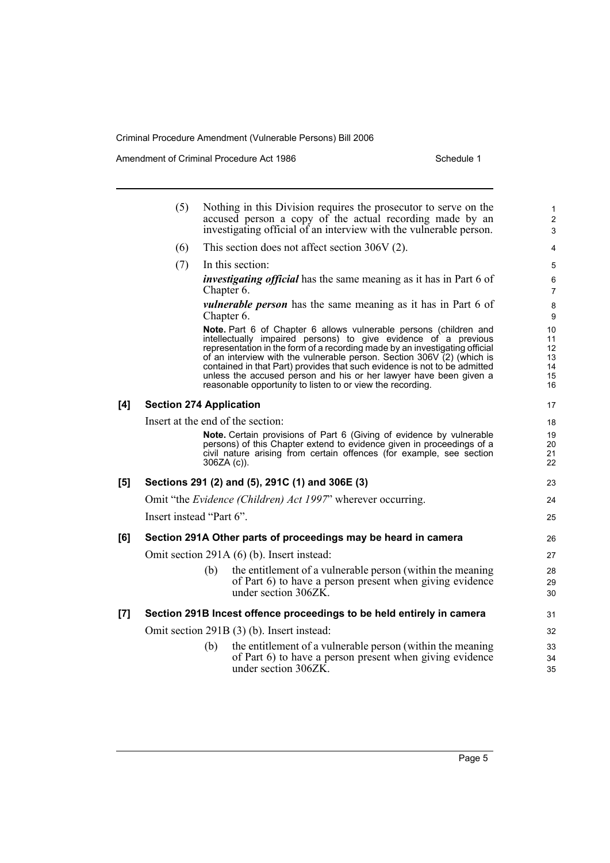Amendment of Criminal Procedure Act 1986 Schedule 1

|     | (5)                               |               | Nothing in this Division requires the prosecutor to serve on the<br>accused person a copy of the actual recording made by an<br>investigating official of an interview with the vulnerable person.                                                                                                                                                                                                                                                                                                            | 1<br>$\overline{2}$<br>3                              |  |
|-----|-----------------------------------|---------------|---------------------------------------------------------------------------------------------------------------------------------------------------------------------------------------------------------------------------------------------------------------------------------------------------------------------------------------------------------------------------------------------------------------------------------------------------------------------------------------------------------------|-------------------------------------------------------|--|
|     | (6)                               |               | This section does not affect section $306V(2)$ .                                                                                                                                                                                                                                                                                                                                                                                                                                                              |                                                       |  |
|     |                                   |               |                                                                                                                                                                                                                                                                                                                                                                                                                                                                                                               | $\overline{4}$                                        |  |
|     | (7)                               |               | In this section:                                                                                                                                                                                                                                                                                                                                                                                                                                                                                              | 5                                                     |  |
|     |                                   | Chapter 6.    | <i>investigating official</i> has the same meaning as it has in Part 6 of                                                                                                                                                                                                                                                                                                                                                                                                                                     | 6<br>$\overline{7}$                                   |  |
|     |                                   | Chapter 6.    | <i>vulnerable person</i> has the same meaning as it has in Part 6 of                                                                                                                                                                                                                                                                                                                                                                                                                                          | $\bf 8$<br>9                                          |  |
|     |                                   |               | Note. Part 6 of Chapter 6 allows vulnerable persons (children and<br>intellectually impaired persons) to give evidence of a previous<br>representation in the form of a recording made by an investigating official<br>of an interview with the vulnerable person. Section 306V (2) (which is<br>contained in that Part) provides that such evidence is not to be admitted<br>unless the accused person and his or her lawyer have been given a<br>reasonable opportunity to listen to or view the recording. | 10<br>11<br>$12 \overline{ }$<br>13<br>14<br>15<br>16 |  |
| [4] | <b>Section 274 Application</b>    |               |                                                                                                                                                                                                                                                                                                                                                                                                                                                                                                               | 17                                                    |  |
|     | Insert at the end of the section: |               |                                                                                                                                                                                                                                                                                                                                                                                                                                                                                                               |                                                       |  |
|     |                                   | $306ZA(c)$ ). | Note. Certain provisions of Part 6 (Giving of evidence by vulnerable<br>persons) of this Chapter extend to evidence given in proceedings of a<br>civil nature arising from certain offences (for example, see section                                                                                                                                                                                                                                                                                         | 19<br>20<br>21<br>22                                  |  |
| [5] |                                   |               | Sections 291 (2) and (5), 291C (1) and 306E (3)                                                                                                                                                                                                                                                                                                                                                                                                                                                               | 23                                                    |  |
|     |                                   |               | Omit "the <i>Evidence (Children) Act 1997</i> " wherever occurring.                                                                                                                                                                                                                                                                                                                                                                                                                                           | 24                                                    |  |
|     | Insert instead "Part 6".          |               |                                                                                                                                                                                                                                                                                                                                                                                                                                                                                                               | 25                                                    |  |
| [6] |                                   |               | Section 291A Other parts of proceedings may be heard in camera                                                                                                                                                                                                                                                                                                                                                                                                                                                | 26                                                    |  |
|     |                                   |               | Omit section 291A (6) (b). Insert instead:                                                                                                                                                                                                                                                                                                                                                                                                                                                                    | 27                                                    |  |
|     |                                   | (b)           | the entitlement of a vulnerable person (within the meaning<br>of Part 6) to have a person present when giving evidence<br>under section 306ZK.                                                                                                                                                                                                                                                                                                                                                                | 28<br>29<br>30                                        |  |
| [7] |                                   |               | Section 291B Incest offence proceedings to be held entirely in camera                                                                                                                                                                                                                                                                                                                                                                                                                                         | 31                                                    |  |
|     |                                   |               | Omit section 291B (3) (b). Insert instead:                                                                                                                                                                                                                                                                                                                                                                                                                                                                    | 32                                                    |  |
|     |                                   | (b)           | the entitlement of a vulnerable person (within the meaning<br>of Part 6) to have a person present when giving evidence<br>under section 306ZK.                                                                                                                                                                                                                                                                                                                                                                | 33<br>34<br>35                                        |  |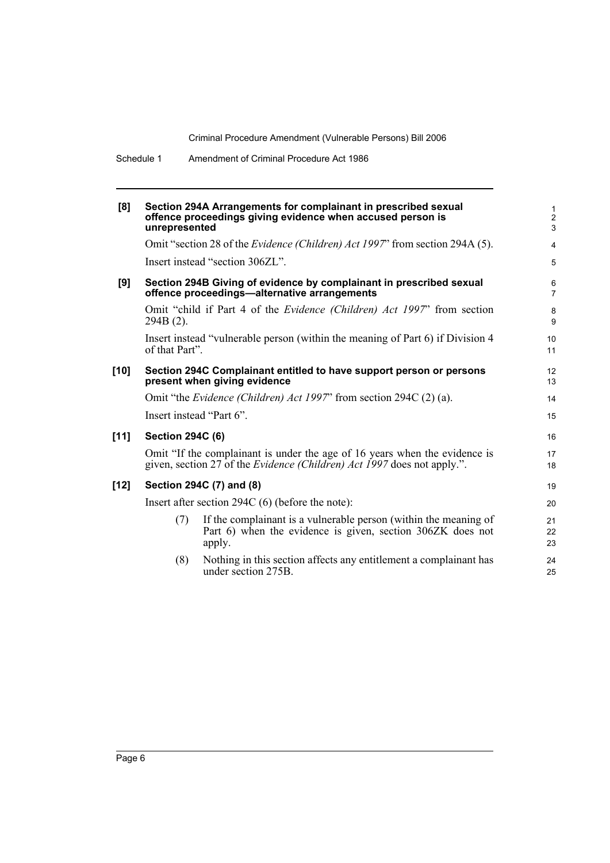| [8]    | unrepresented            | Section 294A Arrangements for complainant in prescribed sexual<br>offence proceedings giving evidence when accused person is                                 | $\mathbf{1}$<br>$\overline{2}$<br>$\mathbf{3}$ |
|--------|--------------------------|--------------------------------------------------------------------------------------------------------------------------------------------------------------|------------------------------------------------|
|        |                          | Omit "section 28 of the <i>Evidence (Children) Act 1997</i> " from section 294A (5).                                                                         | $\overline{4}$                                 |
|        |                          | Insert instead "section 306ZL".                                                                                                                              | 5                                              |
| [9]    |                          | Section 294B Giving of evidence by complainant in prescribed sexual<br>offence proceedings—alternative arrangements                                          | 6<br>$\overline{7}$                            |
|        | 294B (2).                | Omit "child if Part 4 of the <i>Evidence (Children) Act 1997</i> " from section                                                                              | $\bf 8$<br>9                                   |
|        | of that Part".           | Insert instead "vulnerable person (within the meaning of Part 6) if Division 4                                                                               | 10<br>11                                       |
| [10]   |                          | Section 294C Complainant entitled to have support person or persons<br>present when giving evidence                                                          | 12<br>13                                       |
|        |                          | Omit "the <i>Evidence (Children) Act 1997</i> " from section 294C (2) (a).                                                                                   | 14                                             |
|        | Insert instead "Part 6". |                                                                                                                                                              | 15                                             |
| $[11]$ | <b>Section 294C (6)</b>  |                                                                                                                                                              | 16                                             |
|        |                          | Omit "If the complainant is under the age of 16 years when the evidence is<br>given, section 27 of the <i>Evidence (Children) Act 1997</i> does not apply.". | 17<br>18                                       |
| [12]   |                          | Section 294C (7) and (8)                                                                                                                                     | 19                                             |
|        |                          | Insert after section $294C(6)$ (before the note):                                                                                                            | 20                                             |
|        | (7)                      | If the complainant is a vulnerable person (within the meaning of<br>Part 6) when the evidence is given, section 306ZK does not<br>apply.                     | 21<br>22<br>23                                 |
|        | (8)                      | Nothing in this section affects any entitlement a complainant has<br>under section 275B.                                                                     | 24<br>25                                       |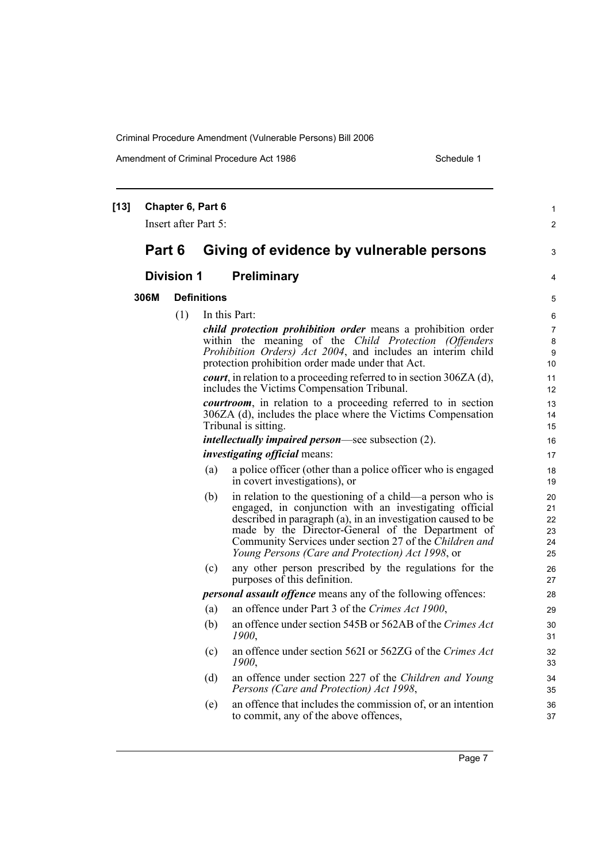Amendment of Criminal Procedure Act 1986 Schedule 1

| $[13]$ |        | Chapter 6, Part 6    |                    |                                                                                                                     | $\mathbf{1}$         |
|--------|--------|----------------------|--------------------|---------------------------------------------------------------------------------------------------------------------|----------------------|
|        |        | Insert after Part 5: |                    |                                                                                                                     | $\overline{2}$       |
|        | Part 6 |                      |                    | Giving of evidence by vulnerable persons                                                                            | 3                    |
|        |        | <b>Division 1</b>    |                    | Preliminary                                                                                                         | 4                    |
|        | 306M   |                      | <b>Definitions</b> |                                                                                                                     | 5                    |
|        |        | (1)                  |                    | In this Part:                                                                                                       | 6                    |
|        |        |                      |                    | child protection prohibition order means a prohibition order                                                        | $\overline{7}$       |
|        |        |                      |                    | within the meaning of the Child Protection (Offenders                                                               | 8                    |
|        |        |                      |                    | Prohibition Orders) Act 2004, and includes an interim child<br>protection prohibition order made under that Act.    | 9<br>10 <sup>1</sup> |
|        |        |                      |                    | <i>court</i> , in relation to a proceeding referred to in section $306ZA$ (d),                                      | 11                   |
|        |        |                      |                    | includes the Victims Compensation Tribunal.                                                                         | 12                   |
|        |        |                      |                    | <i>courtroom</i> , in relation to a proceeding referred to in section                                               | 13                   |
|        |        |                      |                    | 306ZA (d), includes the place where the Victims Compensation                                                        | 14                   |
|        |        |                      |                    | Tribunal is sitting.                                                                                                | 15                   |
|        |        |                      |                    | <i>intellectually impaired person</i> —see subsection (2).                                                          | 16                   |
|        |        |                      |                    | <i>investigating official</i> means:                                                                                | 17                   |
|        |        |                      | (a)                | a police officer (other than a police officer who is engaged<br>in covert investigations), or                       | 18<br>19             |
|        |        |                      | (b)                | in relation to the questioning of a child—a person who is<br>engaged, in conjunction with an investigating official | 20<br>21             |
|        |        |                      |                    | described in paragraph (a), in an investigation caused to be<br>made by the Director-General of the Department of   | 22<br>23             |
|        |        |                      |                    | Community Services under section 27 of the Children and                                                             | 24                   |
|        |        |                      |                    | Young Persons (Care and Protection) Act 1998, or                                                                    | 25                   |
|        |        |                      | (c)                | any other person prescribed by the regulations for the<br>purposes of this definition.                              | 26<br>27             |
|        |        |                      |                    | <i>personal assault offence</i> means any of the following offences:                                                | 28                   |
|        |        |                      | (a)                | an offence under Part 3 of the Crimes Act 1900,                                                                     | 29                   |
|        |        |                      | (b)                | an offence under section 545B or 562AB of the Crimes Act<br>1900,                                                   | 30<br>31             |
|        |        |                      | (c)                | an offence under section 562I or 562ZG of the Crimes Act<br>1900,                                                   | 32<br>33             |
|        |        |                      | (d)                | an offence under section 227 of the Children and Young<br>Persons (Care and Protection) Act 1998,                   | 34<br>35             |
|        |        |                      | (e)                | an offence that includes the commission of, or an intention<br>to commit, any of the above offences,                | 36<br>37             |
|        |        |                      |                    |                                                                                                                     |                      |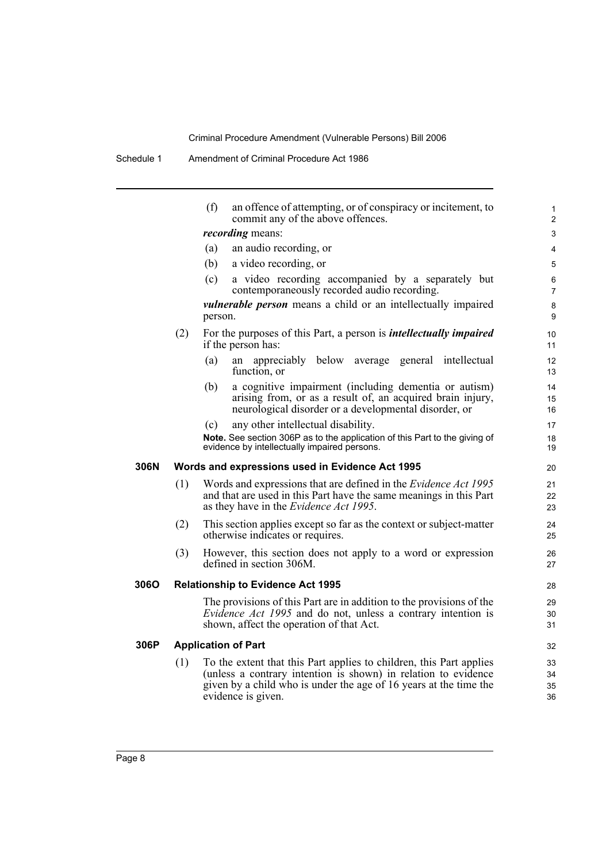|      |     | (f)<br>an offence of attempting, or of conspiracy or incitement, to<br>commit any of the above offences.                                                                                                                         | $\mathbf{1}$<br>$\overline{2}$ |
|------|-----|----------------------------------------------------------------------------------------------------------------------------------------------------------------------------------------------------------------------------------|--------------------------------|
|      |     | <i>recording</i> means:                                                                                                                                                                                                          | 3                              |
|      |     | an audio recording, or<br>(a)                                                                                                                                                                                                    | 4                              |
|      |     | (b)<br>a video recording, or                                                                                                                                                                                                     | 5                              |
|      |     | (c)<br>a video recording accompanied by a separately but<br>contemporaneously recorded audio recording.                                                                                                                          | 6<br>$\overline{7}$            |
|      |     | <i>vulnerable person</i> means a child or an intellectually impaired<br>person.                                                                                                                                                  | 8<br>9                         |
|      | (2) | For the purposes of this Part, a person is <i>intellectually impaired</i><br>if the person has:                                                                                                                                  | 10<br>11                       |
|      |     | (a)<br>appreciably below average general intellectual<br>an<br>function, or                                                                                                                                                      | 12<br>13                       |
|      |     | a cognitive impairment (including dementia or autism)<br>(b)<br>arising from, or as a result of, an acquired brain injury,<br>neurological disorder or a developmental disorder, or                                              | 14<br>15<br>16                 |
|      |     | any other intellectual disability.<br>(c)                                                                                                                                                                                        | 17                             |
|      |     | Note. See section 306P as to the application of this Part to the giving of<br>evidence by intellectually impaired persons.                                                                                                       | 18<br>19                       |
| 306N |     | Words and expressions used in Evidence Act 1995                                                                                                                                                                                  | 20                             |
|      | (1) | Words and expressions that are defined in the <i>Evidence Act 1995</i><br>and that are used in this Part have the same meanings in this Part<br>as they have in the <i>Evidence Act 1995</i> .                                   | 21<br>22<br>23                 |
|      | (2) | This section applies except so far as the context or subject-matter<br>otherwise indicates or requires.                                                                                                                          | 24<br>25                       |
|      | (3) | However, this section does not apply to a word or expression<br>defined in section 306M.                                                                                                                                         | 26<br>27                       |
| 306O |     | <b>Relationship to Evidence Act 1995</b>                                                                                                                                                                                         | 28                             |
|      |     | The provisions of this Part are in addition to the provisions of the<br><i>Evidence Act 1995</i> and do not, unless a contrary intention is<br>shown, affect the operation of that Act.                                          | 29<br>30<br>31                 |
| 306P |     | <b>Application of Part</b>                                                                                                                                                                                                       | 32                             |
|      | (1) | To the extent that this Part applies to children, this Part applies<br>(unless a contrary intention is shown) in relation to evidence<br>given by a child who is under the age of 16 years at the time the<br>evidence is given. | 33<br>34<br>35<br>36           |
|      |     |                                                                                                                                                                                                                                  |                                |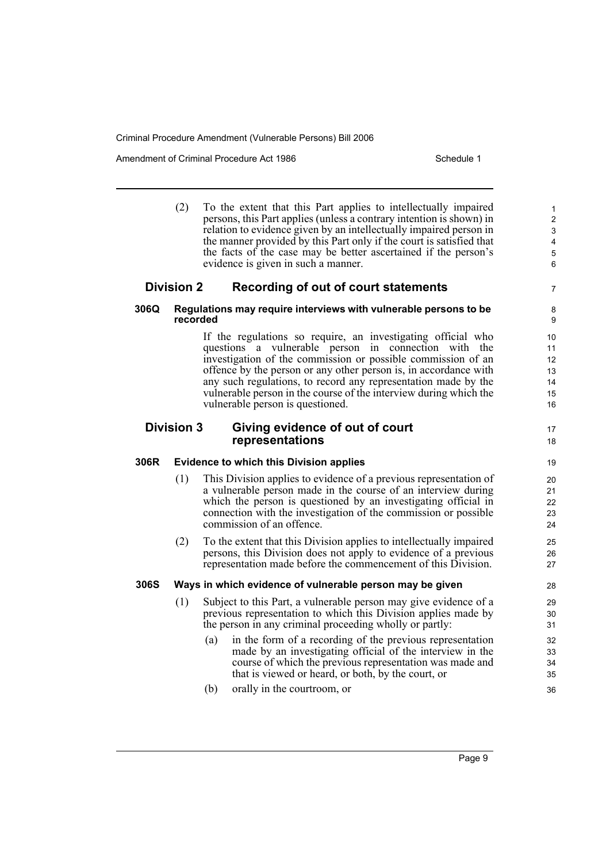Amendment of Criminal Procedure Act 1986 Schedule 1

|                                                                         | (2)                                                                          | To the extent that this Part applies to intellectually impaired<br>persons, this Part applies (unless a contrary intention is shown) in<br>relation to evidence given by an intellectually impaired person in<br>the manner provided by this Part only if the court is satisfied that<br>the facts of the case may be better ascertained if the person's<br>evidence is given in such a manner.                                     | $\mathbf{1}$<br>$\overline{2}$<br>3<br>$\overline{\mathbf{4}}$<br>$\sqrt{5}$<br>$\,6$ |  |  |
|-------------------------------------------------------------------------|------------------------------------------------------------------------------|-------------------------------------------------------------------------------------------------------------------------------------------------------------------------------------------------------------------------------------------------------------------------------------------------------------------------------------------------------------------------------------------------------------------------------------|---------------------------------------------------------------------------------------|--|--|
|                                                                         | <b>Division 2</b>                                                            | Recording of out of court statements                                                                                                                                                                                                                                                                                                                                                                                                | $\overline{7}$                                                                        |  |  |
| 306Q                                                                    | Regulations may require interviews with vulnerable persons to be<br>recorded |                                                                                                                                                                                                                                                                                                                                                                                                                                     |                                                                                       |  |  |
|                                                                         |                                                                              | If the regulations so require, an investigating official who<br>questions a vulnerable person in connection with the<br>investigation of the commission or possible commission of an<br>offence by the person or any other person is, in accordance with<br>any such regulations, to record any representation made by the<br>vulnerable person in the course of the interview during which the<br>vulnerable person is questioned. | 10<br>11<br>12<br>13<br>14<br>15<br>16                                                |  |  |
| <b>Division 3</b><br>Giving evidence of out of court<br>representations |                                                                              |                                                                                                                                                                                                                                                                                                                                                                                                                                     |                                                                                       |  |  |
| 306R                                                                    |                                                                              | <b>Evidence to which this Division applies</b>                                                                                                                                                                                                                                                                                                                                                                                      | 19                                                                                    |  |  |
|                                                                         | (1)                                                                          | This Division applies to evidence of a previous representation of<br>a vulnerable person made in the course of an interview during<br>which the person is questioned by an investigating official in<br>connection with the investigation of the commission or possible<br>commission of an offence.                                                                                                                                | 20<br>21<br>22<br>23<br>24                                                            |  |  |
|                                                                         | (2)                                                                          | To the extent that this Division applies to intellectually impaired<br>persons, this Division does not apply to evidence of a previous<br>representation made before the commencement of this Division.                                                                                                                                                                                                                             | 25<br>26<br>27                                                                        |  |  |
| <b>306S</b>                                                             |                                                                              | Ways in which evidence of vulnerable person may be given                                                                                                                                                                                                                                                                                                                                                                            | 28                                                                                    |  |  |
|                                                                         | (1)                                                                          | Subject to this Part, a vulnerable person may give evidence of a<br>previous representation to which this Division applies made by<br>the person in any criminal proceeding wholly or partly:                                                                                                                                                                                                                                       | 29<br>30<br>31                                                                        |  |  |
|                                                                         |                                                                              | in the form of a recording of the previous representation<br>(a)<br>made by an investigating official of the interview in the<br>course of which the previous representation was made and<br>that is viewed or heard, or both, by the court, or                                                                                                                                                                                     | 32<br>33<br>34<br>35                                                                  |  |  |
|                                                                         |                                                                              | (b)<br>orally in the courtroom, or                                                                                                                                                                                                                                                                                                                                                                                                  | 36                                                                                    |  |  |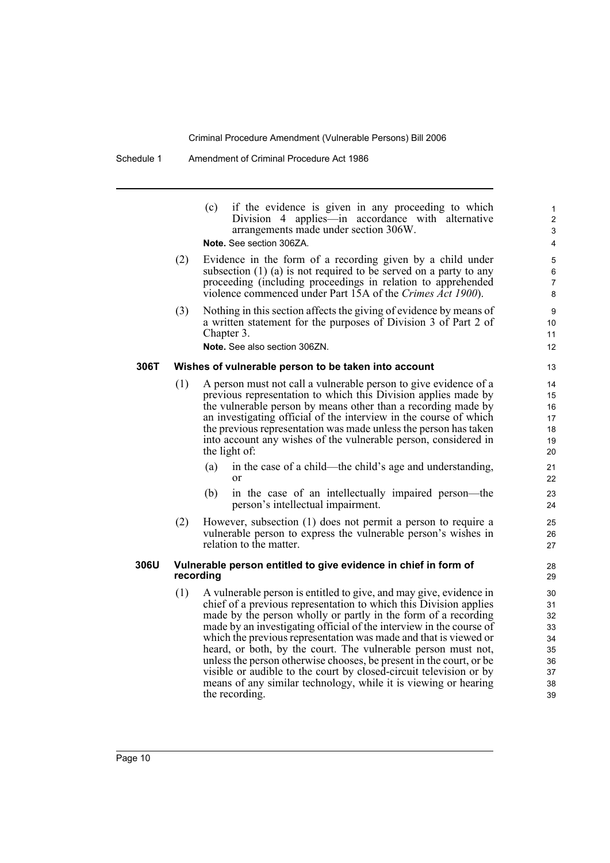|      |     | if the evidence is given in any proceeding to which<br>(c)<br>Division 4 applies—in accordance with alternative<br>arrangements made under section 306W.<br>Note. See section 306ZA.                                                                                                                                                                                                                                                                                                                                                                                                                                                                     | 1<br>$\overline{c}$<br>3<br>4                            |
|------|-----|----------------------------------------------------------------------------------------------------------------------------------------------------------------------------------------------------------------------------------------------------------------------------------------------------------------------------------------------------------------------------------------------------------------------------------------------------------------------------------------------------------------------------------------------------------------------------------------------------------------------------------------------------------|----------------------------------------------------------|
|      | (2) | Evidence in the form of a recording given by a child under<br>subsection $(1)$ $(a)$ is not required to be served on a party to any<br>proceeding (including proceedings in relation to apprehended<br>violence commenced under Part 15A of the Crimes Act 1900).                                                                                                                                                                                                                                                                                                                                                                                        | 5<br>6<br>7<br>8                                         |
|      | (3) | Nothing in this section affects the giving of evidence by means of<br>a written statement for the purposes of Division 3 of Part 2 of<br>Chapter 3.<br>Note. See also section 306ZN.                                                                                                                                                                                                                                                                                                                                                                                                                                                                     | 9<br>10<br>11<br>12                                      |
| 306T |     | Wishes of vulnerable person to be taken into account                                                                                                                                                                                                                                                                                                                                                                                                                                                                                                                                                                                                     | 13                                                       |
|      | (1) | A person must not call a vulnerable person to give evidence of a<br>previous representation to which this Division applies made by<br>the vulnerable person by means other than a recording made by<br>an investigating official of the interview in the course of which<br>the previous representation was made unless the person has taken<br>into account any wishes of the vulnerable person, considered in<br>the light of:<br>(a)<br>in the case of a child—the child's age and understanding,<br>or<br>in the case of an intellectually impaired person—the<br>(b)                                                                                | 14<br>15<br>16<br>17<br>18<br>19<br>20<br>21<br>22<br>23 |
|      | (2) | person's intellectual impairment.<br>However, subsection (1) does not permit a person to require a<br>vulnerable person to express the vulnerable person's wishes in<br>relation to the matter.                                                                                                                                                                                                                                                                                                                                                                                                                                                          | 24<br>25<br>26<br>27                                     |
| 306U |     | Vulnerable person entitled to give evidence in chief in form of<br>recording                                                                                                                                                                                                                                                                                                                                                                                                                                                                                                                                                                             | 28<br>29                                                 |
|      | (1) | A vulnerable person is entitled to give, and may give, evidence in<br>chief of a previous representation to which this Division applies<br>made by the person wholly or partly in the form of a recording<br>made by an investigating official of the interview in the course of<br>which the previous representation was made and that is viewed or<br>heard, or both, by the court. The vulnerable person must not,<br>unless the person otherwise chooses, be present in the court, or be.<br>visible or audible to the court by closed-circuit television or by<br>means of any similar technology, while it is viewing or hearing<br>the recording. | 30<br>31<br>32<br>33<br>34<br>35<br>36<br>37<br>38<br>39 |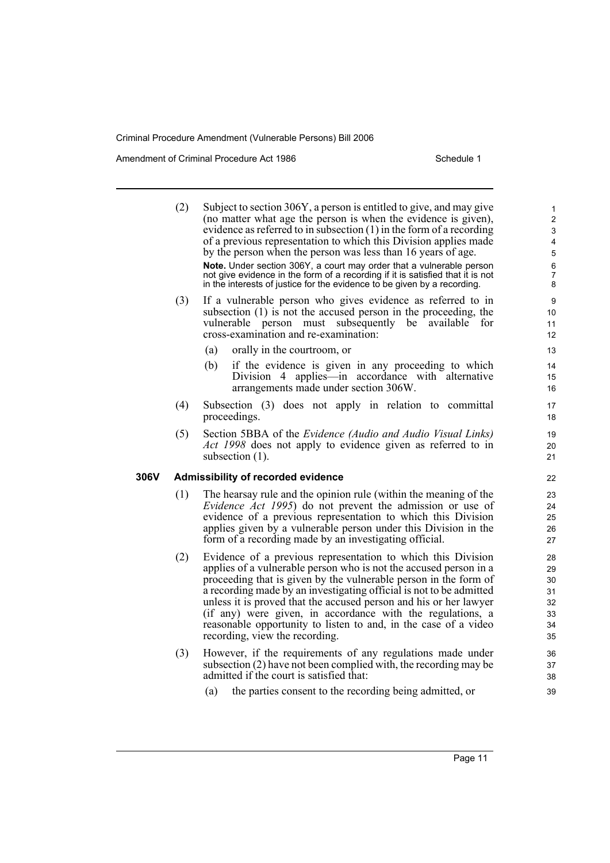Amendment of Criminal Procedure Act 1986 Schedule 1

306V

| (2) | Subject to section 306Y, a person is entitled to give, and may give<br>(no matter what age the person is when the evidence is given),<br>evidence as referred to in subsection $(1)$ in the form of a recording<br>of a previous representation to which this Division applies made<br>by the person when the person was less than 16 years of age.<br>Note. Under section 306Y, a court may order that a vulnerable person<br>not give evidence in the form of a recording if it is satisfied that it is not<br>in the interests of justice for the evidence to be given by a recording. | 1<br>$\overline{2}$<br>3<br>4<br>5<br>6<br>7<br>8 |
|-----|-------------------------------------------------------------------------------------------------------------------------------------------------------------------------------------------------------------------------------------------------------------------------------------------------------------------------------------------------------------------------------------------------------------------------------------------------------------------------------------------------------------------------------------------------------------------------------------------|---------------------------------------------------|
| (3) | If a vulnerable person who gives evidence as referred to in<br>subsection (1) is not the accused person in the proceeding, the<br>subsequently be<br>vulnerable person must<br>available<br>for<br>cross-examination and re-examination:                                                                                                                                                                                                                                                                                                                                                  | 9<br>10<br>11<br>12                               |
|     | (a)<br>orally in the courtroom, or<br>if the evidence is given in any proceeding to which<br>(b)<br>Division 4 applies—in accordance with alternative<br>arrangements made under section 306W.                                                                                                                                                                                                                                                                                                                                                                                            | 13<br>14<br>15<br>16                              |
| (4) | Subsection (3) does not apply in relation to committal<br>proceedings.                                                                                                                                                                                                                                                                                                                                                                                                                                                                                                                    | 17<br>18                                          |
| (5) | Section 5BBA of the <i>Evidence (Audio and Audio Visual Links)</i><br>Act 1998 does not apply to evidence given as referred to in<br>subsection $(1)$ .                                                                                                                                                                                                                                                                                                                                                                                                                                   | 19<br>20<br>21                                    |
|     | Admissibility of recorded evidence                                                                                                                                                                                                                                                                                                                                                                                                                                                                                                                                                        | 22                                                |
| (1) | The hearsay rule and the opinion rule (within the meaning of the<br>Evidence Act 1995) do not prevent the admission or use of<br>evidence of a previous representation to which this Division<br>applies given by a vulnerable person under this Division in the<br>form of a recording made by an investigating official.                                                                                                                                                                                                                                                                | 23<br>24<br>25<br>26<br>27                        |
| (2) | Evidence of a previous representation to which this Division<br>applies of a vulnerable person who is not the accused person in a<br>proceeding that is given by the vulnerable person in the form of<br>a recording made by an investigating official is not to be admitted<br>unless it is proved that the accused person and his or her lawyer<br>(if any) were given, in accordance with the regulations, a<br>reasonable opportunity to listen to and, in the case of a video<br>recording, view the recording.                                                                      | 28<br>29<br>30<br>31<br>32<br>33<br>34<br>35      |
| (3) | However, if the requirements of any regulations made under<br>subsection (2) have not been complied with, the recording may be<br>admitted if the court is satisfied that:                                                                                                                                                                                                                                                                                                                                                                                                                | 36<br>37<br>38                                    |
|     | the parties consent to the recording being admitted, or<br>(a)                                                                                                                                                                                                                                                                                                                                                                                                                                                                                                                            | 39                                                |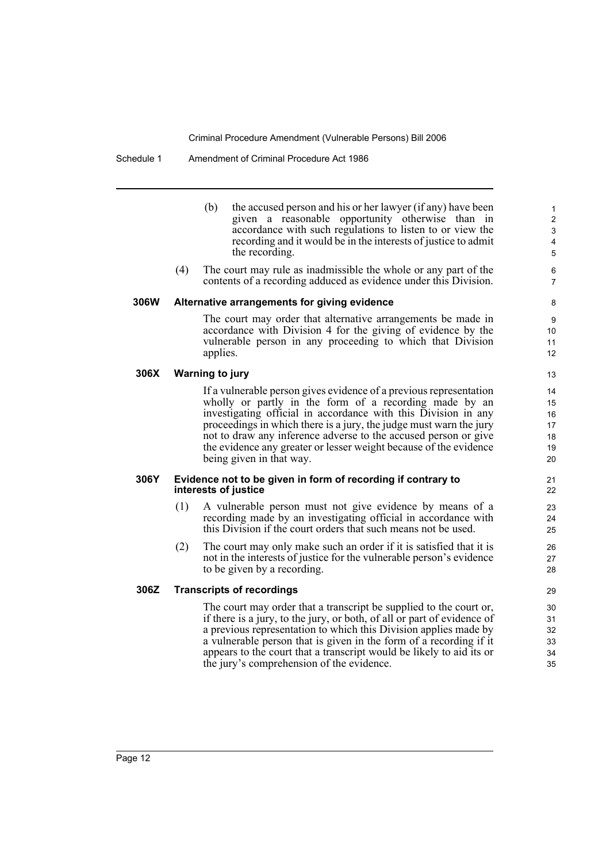#### Schedule 1 Amendment of Criminal Procedure Act 1986

- (b) the accused person and his or her lawyer (if any) have been given a reasonable opportunity otherwise than in accordance with such regulations to listen to or view the recording and it would be in the interests of justice to admit the recording.
- (4) The court may rule as inadmissible the whole or any part of the contents of a recording adduced as evidence under this Division.

#### **306W Alternative arrangements for giving evidence**

The court may order that alternative arrangements be made in accordance with Division 4 for the giving of evidence by the vulnerable person in any proceeding to which that Division applies.

#### **306X Warning to jury**

If a vulnerable person gives evidence of a previous representation wholly or partly in the form of a recording made by an investigating official in accordance with this Division in any proceedings in which there is a jury, the judge must warn the jury not to draw any inference adverse to the accused person or give the evidence any greater or lesser weight because of the evidence being given in that way.

#### **306Y Evidence not to be given in form of recording if contrary to interests of justice**

- (1) A vulnerable person must not give evidence by means of a recording made by an investigating official in accordance with this Division if the court orders that such means not be used.
- (2) The court may only make such an order if it is satisfied that it is not in the interests of justice for the vulnerable person's evidence to be given by a recording.

#### **306Z Transcripts of recordings**

The court may order that a transcript be supplied to the court or, if there is a jury, to the jury, or both, of all or part of evidence of a previous representation to which this Division applies made by a vulnerable person that is given in the form of a recording if it appears to the court that a transcript would be likely to aid its or the jury's comprehension of the evidence.

12 13

21 22 23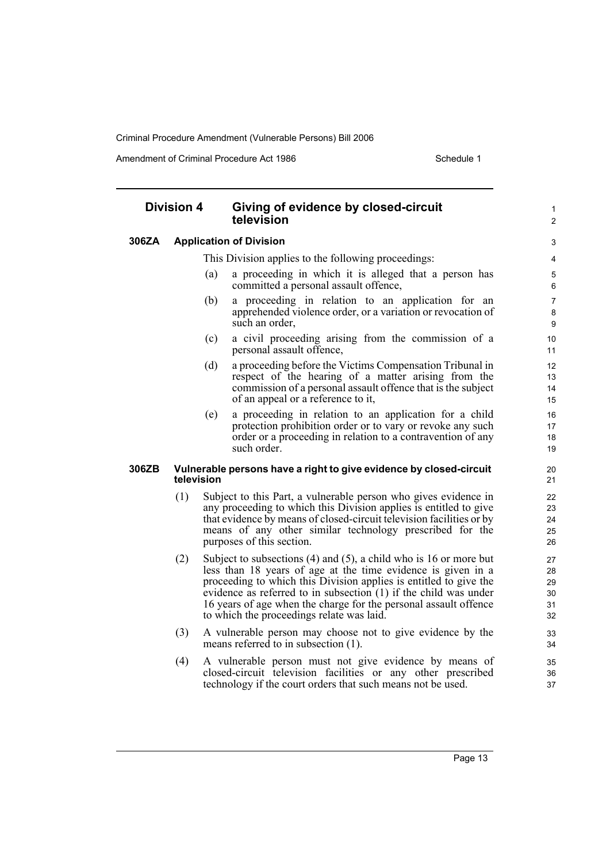Amendment of Criminal Procedure Act 1986 Schedule 1

#### **Division 4 Giving of evidence by closed-circuit television 306ZA Application of Division** This Division applies to the following proceedings: (a) a proceeding in which it is alleged that a person has committed a personal assault offence, (b) a proceeding in relation to an application for an apprehended violence order, or a variation or revocation of such an order, (c) a civil proceeding arising from the commission of a personal assault offence, (d) a proceeding before the Victims Compensation Tribunal in respect of the hearing of a matter arising from the commission of a personal assault offence that is the subject of an appeal or a reference to it, (e) a proceeding in relation to an application for a child protection prohibition order or to vary or revoke any such order or a proceeding in relation to a contravention of any such order. **306ZB Vulnerable persons have a right to give evidence by closed-circuit television** (1) Subject to this Part, a vulnerable person who gives evidence in any proceeding to which this Division applies is entitled to give that evidence by means of closed-circuit television facilities or by means of any other similar technology prescribed for the purposes of this section. (2) Subject to subsections (4) and (5), a child who is 16 or more but less than 18 years of age at the time evidence is given in a proceeding to which this Division applies is entitled to give the evidence as referred to in subsection  $(1)$  if the child was under 16 years of age when the charge for the personal assault offence to which the proceedings relate was laid. (3) A vulnerable person may choose not to give evidence by the means referred to in subsection (1). (4) A vulnerable person must not give evidence by means of closed-circuit television facilities or any other prescribed technology if the court orders that such means not be used. 1  $\overline{2}$ 3 4 5 6 7 8  $\Omega$ 10 11 12 13 14 15 16 17 18 19 20 21 22 23 24 25 26 27  $28$ 29 30 31 32 33 34 35 36 37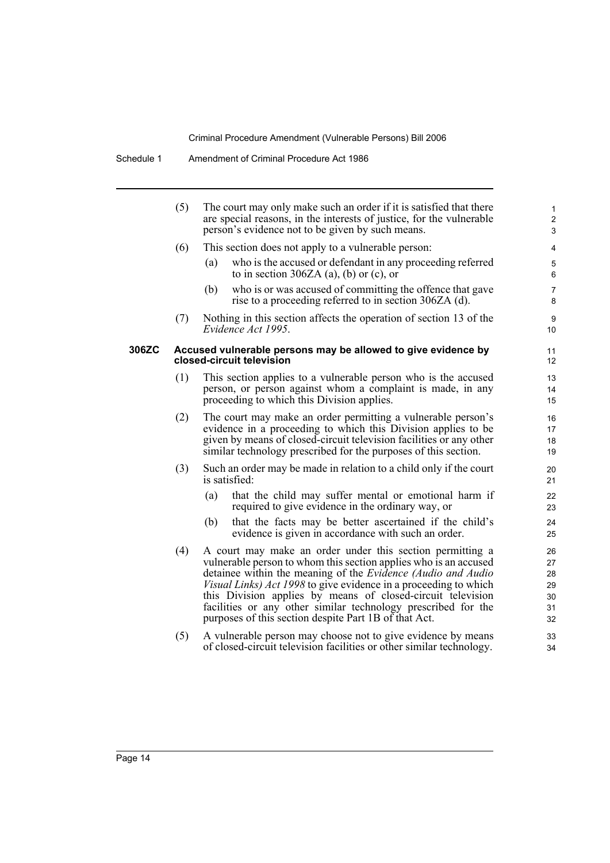|       | (5) | The court may only make such an order if it is satisfied that there<br>are special reasons, in the interests of justice, for the vulnerable<br>person's evidence not to be given by such means.                                                                                                                                                                                                                                                                          | 1<br>$\overline{2}$<br>$\mathfrak{S}$  |
|-------|-----|--------------------------------------------------------------------------------------------------------------------------------------------------------------------------------------------------------------------------------------------------------------------------------------------------------------------------------------------------------------------------------------------------------------------------------------------------------------------------|----------------------------------------|
|       | (6) | This section does not apply to a vulnerable person:                                                                                                                                                                                                                                                                                                                                                                                                                      | 4                                      |
|       |     | who is the accused or defendant in any proceeding referred<br>(a)<br>to in section 306ZA (a), (b) or (c), or                                                                                                                                                                                                                                                                                                                                                             | 5<br>6                                 |
|       |     | who is or was accused of committing the offence that gave<br>(b)<br>rise to a proceeding referred to in section 306ZA (d).                                                                                                                                                                                                                                                                                                                                               | $\overline{7}$<br>8                    |
|       | (7) | Nothing in this section affects the operation of section 13 of the<br>Evidence Act 1995.                                                                                                                                                                                                                                                                                                                                                                                 | 9<br>10                                |
| 306ZC |     | Accused vulnerable persons may be allowed to give evidence by<br>closed-circuit television                                                                                                                                                                                                                                                                                                                                                                               | 11<br>$12 \overline{ }$                |
|       | (1) | This section applies to a vulnerable person who is the accused<br>person, or person against whom a complaint is made, in any<br>proceeding to which this Division applies.                                                                                                                                                                                                                                                                                               | 13<br>14<br>15                         |
|       | (2) | The court may make an order permitting a vulnerable person's<br>evidence in a proceeding to which this Division applies to be<br>given by means of closed-circuit television facilities or any other<br>similar technology prescribed for the purposes of this section.                                                                                                                                                                                                  | 16<br>17<br>18<br>19                   |
|       | (3) | Such an order may be made in relation to a child only if the court<br>is satisfied:                                                                                                                                                                                                                                                                                                                                                                                      | 20<br>21                               |
|       |     | that the child may suffer mental or emotional harm if<br>(a)<br>required to give evidence in the ordinary way, or                                                                                                                                                                                                                                                                                                                                                        | 22<br>23                               |
|       |     | that the facts may be better ascertained if the child's<br>(b)<br>evidence is given in accordance with such an order.                                                                                                                                                                                                                                                                                                                                                    | 24<br>25                               |
|       | (4) | A court may make an order under this section permitting a<br>vulnerable person to whom this section applies who is an accused<br>detainee within the meaning of the <i>Evidence (Audio and Audio</i><br><i>Visual Links) Act 1998</i> to give evidence in a proceeding to which<br>this Division applies by means of closed-circuit television<br>facilities or any other similar technology prescribed for the<br>purposes of this section despite Part 1B of that Act. | 26<br>27<br>28<br>29<br>30<br>31<br>32 |
|       | (5) | A vulnerable person may choose not to give evidence by means<br>of closed-circuit television facilities or other similar technology.                                                                                                                                                                                                                                                                                                                                     | 33<br>34                               |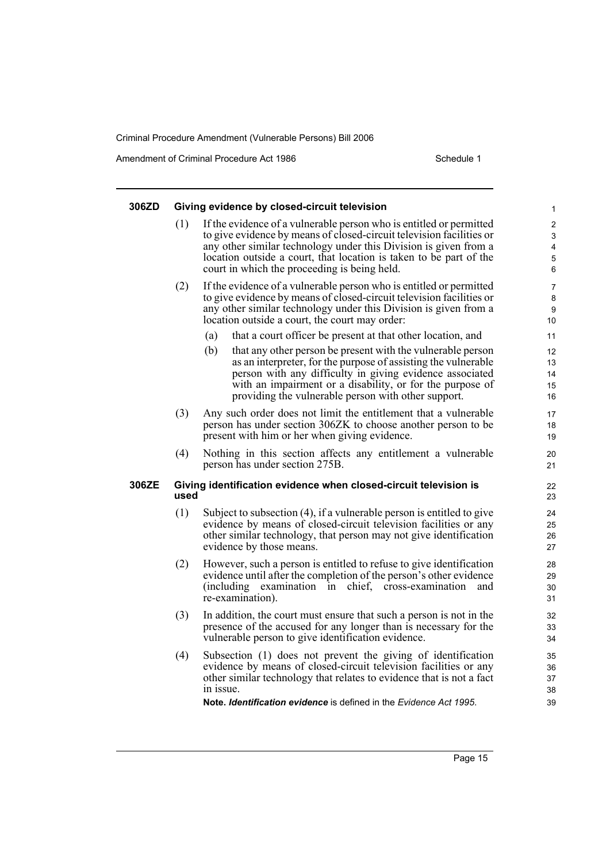Amendment of Criminal Procedure Act 1986 Schedule 1

| 306ZD |      | Giving evidence by closed-circuit television                                                                                                                                                                                                                                                                                                                                               |                                                  |
|-------|------|--------------------------------------------------------------------------------------------------------------------------------------------------------------------------------------------------------------------------------------------------------------------------------------------------------------------------------------------------------------------------------------------|--------------------------------------------------|
|       | (1)  | If the evidence of a vulnerable person who is entitled or permitted<br>to give evidence by means of closed-circuit television facilities or<br>any other similar technology under this Division is given from a<br>location outside a court, that location is taken to be part of the<br>court in which the proceeding is being held.                                                      | 1<br>$\overline{\mathbf{c}}$<br>3<br>4<br>5<br>6 |
|       | (2)  | If the evidence of a vulnerable person who is entitled or permitted<br>to give evidence by means of closed-circuit television facilities or<br>any other similar technology under this Division is given from a<br>location outside a court, the court may order:                                                                                                                          | 7<br>8<br>9<br>10                                |
|       |      | (a)<br>that a court officer be present at that other location, and<br>(b)<br>that any other person be present with the vulnerable person<br>as an interpreter, for the purpose of assisting the vulnerable<br>person with any difficulty in giving evidence associated<br>with an impairment or a disability, or for the purpose of<br>providing the vulnerable person with other support. | 11<br>12<br>13<br>14<br>15<br>16                 |
|       | (3)  | Any such order does not limit the entitlement that a vulnerable<br>person has under section 306ZK to choose another person to be<br>present with him or her when giving evidence.                                                                                                                                                                                                          | 17<br>18<br>19                                   |
|       | (4)  | Nothing in this section affects any entitlement a vulnerable<br>person has under section 275B.                                                                                                                                                                                                                                                                                             | 20<br>21                                         |
| 306ZE | used | Giving identification evidence when closed-circuit television is                                                                                                                                                                                                                                                                                                                           | 22<br>23                                         |
|       | (1)  | Subject to subsection (4), if a vulnerable person is entitled to give<br>evidence by means of closed-circuit television facilities or any<br>other similar technology, that person may not give identification<br>evidence by those means.                                                                                                                                                 | 24<br>25<br>26<br>27                             |
|       | (2)  | However, such a person is entitled to refuse to give identification<br>evidence until after the completion of the person's other evidence<br>(including)<br>in chief, cross-examination<br>examination<br>and<br>re-examination).                                                                                                                                                          | 28<br>29<br>30<br>31                             |
|       | (3)  | In addition, the court must ensure that such a person is not in the<br>presence of the accused for any longer than is necessary for the<br>vulnerable person to give identification evidence.                                                                                                                                                                                              | 32<br>33<br>34                                   |
|       | (4)  | Subsection (1) does not prevent the giving of identification<br>evidence by means of closed-circuit television facilities or any<br>other similar technology that relates to evidence that is not a fact<br>in issue.<br><b>Note, Identification evidence</b> is defined in the <i>Evidence Act 1995</i> .                                                                                 | 35<br>36<br>37<br>38<br>39                       |
|       |      |                                                                                                                                                                                                                                                                                                                                                                                            |                                                  |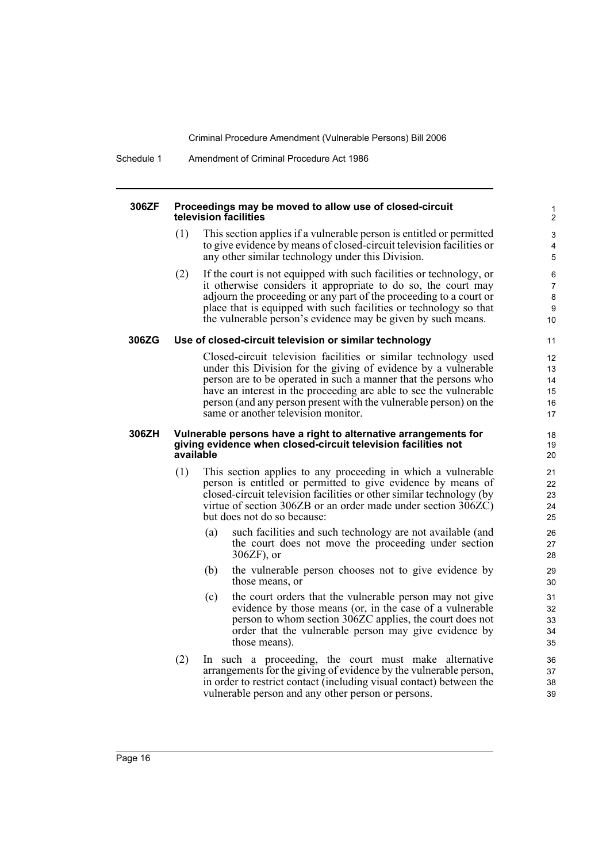Schedule 1 Amendment of Criminal Procedure Act 1986

#### **306ZF Proceedings may be moved to allow use of closed-circuit television facilities**

(1) This section applies if a vulnerable person is entitled or permitted to give evidence by means of closed-circuit television facilities or any other similar technology under this Division.

(2) If the court is not equipped with such facilities or technology, or it otherwise considers it appropriate to do so, the court may adjourn the proceeding or any part of the proceeding to a court or place that is equipped with such facilities or technology so that the vulnerable person's evidence may be given by such means.

#### **306ZG Use of closed-circuit television or similar technology**

Closed-circuit television facilities or similar technology used under this Division for the giving of evidence by a vulnerable person are to be operated in such a manner that the persons who have an interest in the proceeding are able to see the vulnerable person (and any person present with the vulnerable person) on the same or another television monitor.

#### **306ZH Vulnerable persons have a right to alternative arrangements for giving evidence when closed-circuit television facilities not available**

- (1) This section applies to any proceeding in which a vulnerable person is entitled or permitted to give evidence by means of closed-circuit television facilities or other similar technology (by virtue of section 306ZB or an order made under section 306ZC) but does not do so because:
	- (a) such facilities and such technology are not available (and the court does not move the proceeding under section 306ZF), or
	- (b) the vulnerable person chooses not to give evidence by those means, or
	- (c) the court orders that the vulnerable person may not give evidence by those means (or, in the case of a vulnerable person to whom section 306ZC applies, the court does not order that the vulnerable person may give evidence by those means).
- (2) In such a proceeding, the court must make alternative arrangements for the giving of evidence by the vulnerable person, in order to restrict contact (including visual contact) between the vulnerable person and any other person or persons.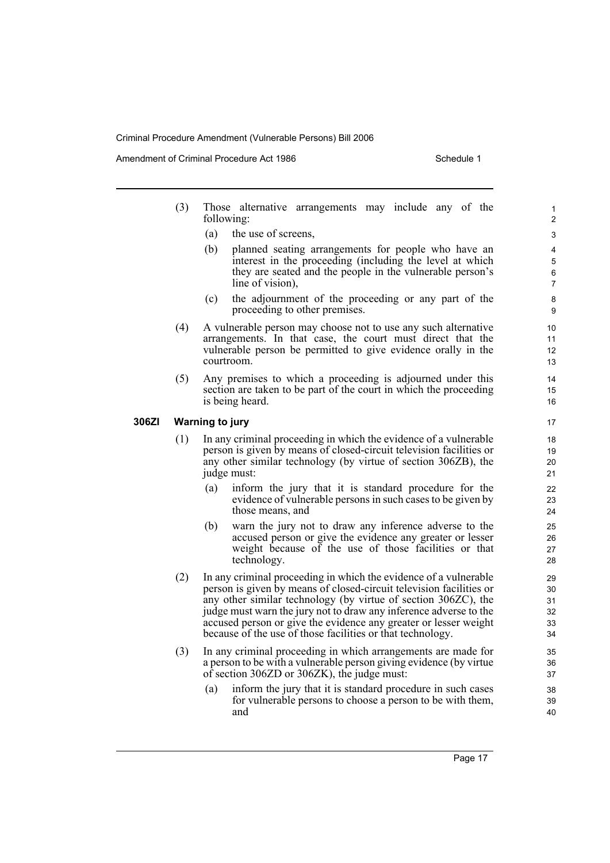Amendment of Criminal Procedure Act 1986 Schedule 1

- (3) Those alternative arrangements may include any of the following:
	- (a) the use of screens,
	- (b) planned seating arrangements for people who have an interest in the proceeding (including the level at which they are seated and the people in the vulnerable person's line of vision),
	- (c) the adjournment of the proceeding or any part of the proceeding to other premises.
- (4) A vulnerable person may choose not to use any such alternative arrangements. In that case, the court must direct that the vulnerable person be permitted to give evidence orally in the courtroom.
- (5) Any premises to which a proceeding is adjourned under this section are taken to be part of the court in which the proceeding is being heard.

#### **306ZI Warning to jury**

- (1) In any criminal proceeding in which the evidence of a vulnerable person is given by means of closed-circuit television facilities or any other similar technology (by virtue of section 306ZB), the judge must:
	- (a) inform the jury that it is standard procedure for the evidence of vulnerable persons in such cases to be given by those means, and
	- (b) warn the jury not to draw any inference adverse to the accused person or give the evidence any greater or lesser weight because of the use of those facilities or that technology.
- (2) In any criminal proceeding in which the evidence of a vulnerable person is given by means of closed-circuit television facilities or any other similar technology (by virtue of section 306ZC), the judge must warn the jury not to draw any inference adverse to the accused person or give the evidence any greater or lesser weight because of the use of those facilities or that technology.
- (3) In any criminal proceeding in which arrangements are made for a person to be with a vulnerable person giving evidence (by virtue of section 306ZD or 306ZK), the judge must:
	- (a) inform the jury that it is standard procedure in such cases for vulnerable persons to choose a person to be with them, and

Page 17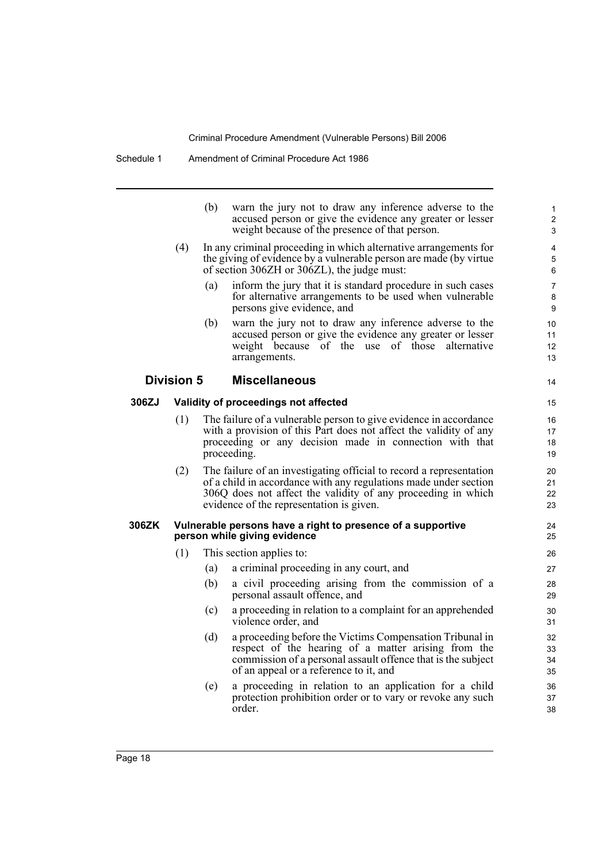|       |                   | (b) | warn the jury not to draw any inference adverse to the<br>accused person or give the evidence any greater or lesser<br>weight because of the presence of that person.                                                                               | $\mathbf{1}$<br>$\overline{c}$<br>3 |
|-------|-------------------|-----|-----------------------------------------------------------------------------------------------------------------------------------------------------------------------------------------------------------------------------------------------------|-------------------------------------|
|       | (4)               |     | In any criminal proceeding in which alternative arrangements for<br>the giving of evidence by a vulnerable person are made (by virtue)<br>of section 306ZH or 306ZL), the judge must:                                                               | 4<br>5<br>6                         |
|       |                   | (a) | inform the jury that it is standard procedure in such cases<br>for alternative arrangements to be used when vulnerable<br>persons give evidence, and                                                                                                | $\overline{7}$<br>8<br>9            |
|       |                   | (b) | warn the jury not to draw any inference adverse to the<br>accused person or give the evidence any greater or lesser<br>weight because of the use of those alternative<br>arrangements.                                                              | 10<br>11<br>12<br>13                |
|       | <b>Division 5</b> |     | <b>Miscellaneous</b>                                                                                                                                                                                                                                | 14                                  |
| 306ZJ |                   |     | Validity of proceedings not affected                                                                                                                                                                                                                | 15                                  |
|       | (1)               |     | The failure of a vulnerable person to give evidence in accordance<br>with a provision of this Part does not affect the validity of any<br>proceeding or any decision made in connection with that<br>proceeding.                                    | 16<br>17<br>18<br>19                |
|       | (2)               |     | The failure of an investigating official to record a representation<br>of a child in accordance with any regulations made under section<br>306Q does not affect the validity of any proceeding in which<br>evidence of the representation is given. | 20<br>21<br>22<br>23                |
| 306ZK |                   |     | Vulnerable persons have a right to presence of a supportive<br>person while giving evidence                                                                                                                                                         | 24<br>25                            |
|       | (1)               |     | This section applies to:                                                                                                                                                                                                                            | 26                                  |
|       |                   | (a) | a criminal proceeding in any court, and                                                                                                                                                                                                             | 27                                  |
|       |                   | (b) | a civil proceeding arising from the commission of a<br>personal assault offence, and                                                                                                                                                                | 28<br>29                            |
|       |                   | (c) | a proceeding in relation to a complaint for an apprehended<br>violence order, and                                                                                                                                                                   | 30<br>31                            |
|       |                   | (d) | a proceeding before the Victims Compensation Tribunal in<br>respect of the hearing of a matter arising from the<br>commission of a personal assault offence that is the subject<br>of an appeal or a reference to it, and                           | 32<br>33<br>34<br>35                |
|       |                   | (e) | a proceeding in relation to an application for a child<br>protection prohibition order or to vary or revoke any such<br>order.                                                                                                                      | 36<br>37<br>38                      |
|       |                   |     |                                                                                                                                                                                                                                                     |                                     |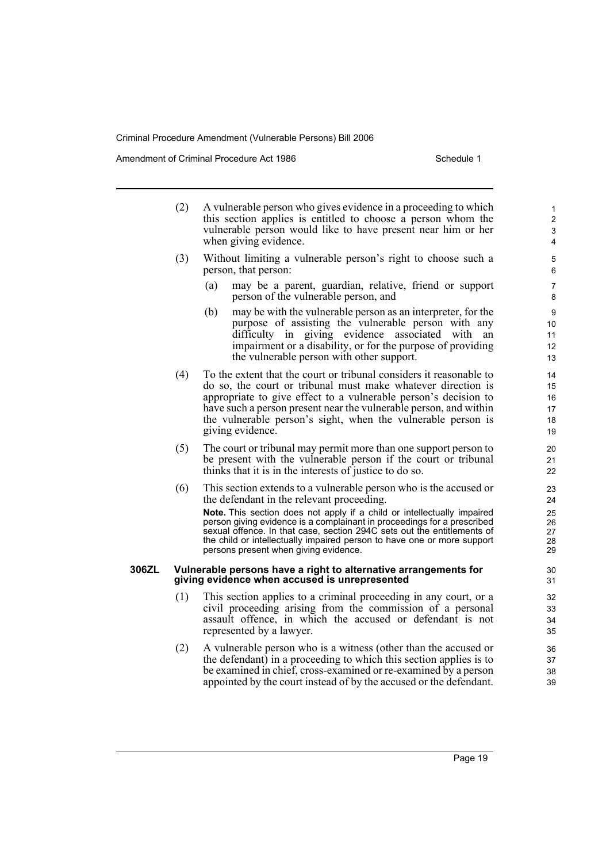Amendment of Criminal Procedure Act 1986 Schedule 1

- (2) A vulnerable person who gives evidence in a proceeding to which this section applies is entitled to choose a person whom the vulnerable person would like to have present near him or her when giving evidence. (3) Without limiting a vulnerable person's right to choose such a person, that person: (a) may be a parent, guardian, relative, friend or support person of the vulnerable person, and
	- (b) may be with the vulnerable person as an interpreter, for the purpose of assisting the vulnerable person with any difficulty in giving evidence associated with an impairment or a disability, or for the purpose of providing the vulnerable person with other support.
- (4) To the extent that the court or tribunal considers it reasonable to do so, the court or tribunal must make whatever direction is appropriate to give effect to a vulnerable person's decision to have such a person present near the vulnerable person, and within the vulnerable person's sight, when the vulnerable person is giving evidence.
- (5) The court or tribunal may permit more than one support person to be present with the vulnerable person if the court or tribunal thinks that it is in the interests of justice to do so.
- (6) This section extends to a vulnerable person who is the accused or the defendant in the relevant proceeding.

**Note.** This section does not apply if a child or intellectually impaired person giving evidence is a complainant in proceedings for a prescribed sexual offence. In that case, section 294C sets out the entitlements of the child or intellectually impaired person to have one or more support persons present when giving evidence.

#### **306ZL Vulnerable persons have a right to alternative arrangements for giving evidence when accused is unrepresented**

- (1) This section applies to a criminal proceeding in any court, or a civil proceeding arising from the commission of a personal assault offence, in which the accused or defendant is not represented by a lawyer.
- (2) A vulnerable person who is a witness (other than the accused or the defendant) in a proceeding to which this section applies is to be examined in chief, cross-examined or re-examined by a person appointed by the court instead of by the accused or the defendant.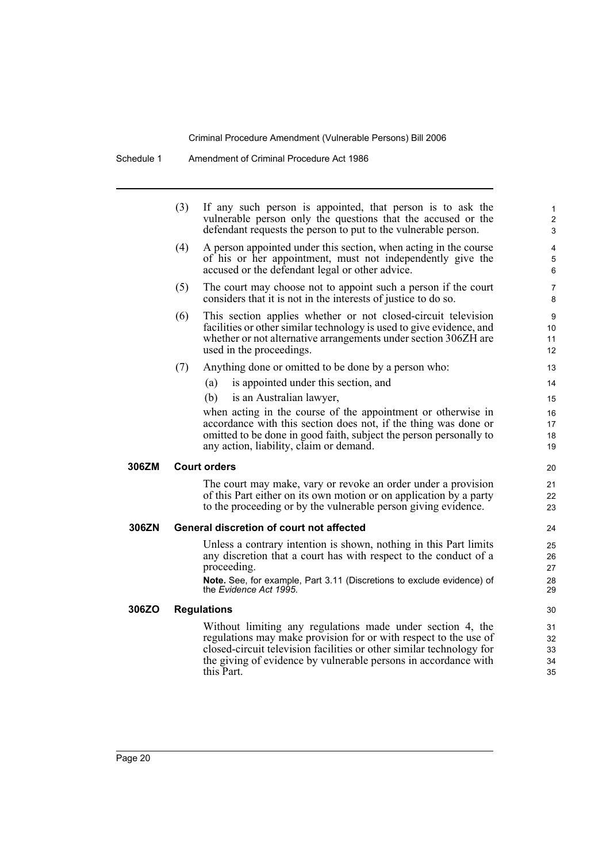Schedule 1 Amendment of Criminal Procedure Act 1986

|       | (3) | If any such person is appointed, that person is to ask the<br>vulnerable person only the questions that the accused or the<br>defendant requests the person to put to the vulnerable person.                                                                                            | 1<br>$\overline{c}$<br>3   |
|-------|-----|-----------------------------------------------------------------------------------------------------------------------------------------------------------------------------------------------------------------------------------------------------------------------------------------|----------------------------|
|       | (4) | A person appointed under this section, when acting in the course<br>of his or her appointment, must not independently give the<br>accused or the defendant legal or other advice.                                                                                                       | 4<br>5<br>6                |
|       | (5) | The court may choose not to appoint such a person if the court<br>considers that it is not in the interests of justice to do so.                                                                                                                                                        | 7<br>8                     |
|       | (6) | This section applies whether or not closed-circuit television<br>facilities or other similar technology is used to give evidence, and<br>whether or not alternative arrangements under section 306ZH are<br>used in the proceedings.                                                    | 9<br>10<br>11<br>12        |
|       | (7) | Anything done or omitted to be done by a person who:                                                                                                                                                                                                                                    | 13                         |
|       |     | is appointed under this section, and<br>(a)                                                                                                                                                                                                                                             | 14                         |
|       |     | (b)<br>is an Australian lawyer,                                                                                                                                                                                                                                                         | 15                         |
|       |     | when acting in the course of the appointment or otherwise in                                                                                                                                                                                                                            | 16                         |
|       |     | accordance with this section does not, if the thing was done or                                                                                                                                                                                                                         | 17                         |
|       |     | omitted to be done in good faith, subject the person personally to<br>any action, liability, claim or demand.                                                                                                                                                                           | 18<br>19                   |
| 306ZM |     | <b>Court orders</b>                                                                                                                                                                                                                                                                     | 20                         |
|       |     | The court may make, vary or revoke an order under a provision<br>of this Part either on its own motion or on application by a party<br>to the proceeding or by the vulnerable person giving evidence.                                                                                   | 21<br>22<br>23             |
| 306ZN |     | <b>General discretion of court not affected</b>                                                                                                                                                                                                                                         | 24                         |
|       |     | Unless a contrary intention is shown, nothing in this Part limits<br>any discretion that a court has with respect to the conduct of a<br>proceeding.<br>Note. See, for example, Part 3.11 (Discretions to exclude evidence) of<br>the Evidence Act 1995.                                | 25<br>26<br>27<br>28<br>29 |
| 306ZO |     | <b>Regulations</b>                                                                                                                                                                                                                                                                      | 30                         |
|       |     | Without limiting any regulations made under section 4, the<br>regulations may make provision for or with respect to the use of<br>closed-circuit television facilities or other similar technology for<br>the giving of evidence by vulnerable persons in accordance with<br>this Part. | 31<br>32<br>33<br>34<br>35 |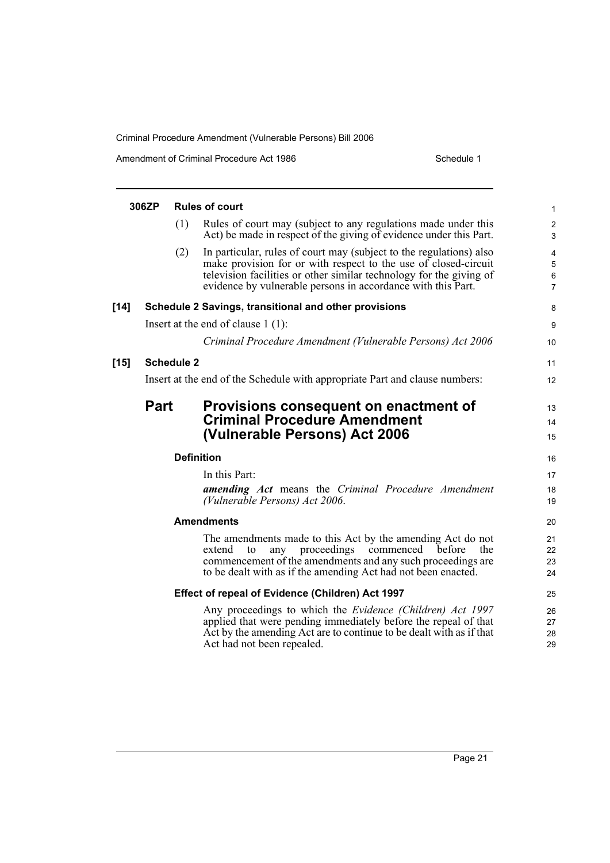Amendment of Criminal Procedure Act 1986 Schedule 1

|        | 306ZP       |                   | <b>Rules of court</b>                                                                                                                                                                                                                                                         | 1                            |
|--------|-------------|-------------------|-------------------------------------------------------------------------------------------------------------------------------------------------------------------------------------------------------------------------------------------------------------------------------|------------------------------|
|        |             | (1)               | Rules of court may (subject to any regulations made under this<br>Act) be made in respect of the giving of evidence under this Part.                                                                                                                                          | $\overline{\mathbf{c}}$<br>3 |
|        |             | (2)               | In particular, rules of court may (subject to the regulations) also<br>make provision for or with respect to the use of closed-circuit<br>television facilities or other similar technology for the giving of<br>evidence by vulnerable persons in accordance with this Part. | 4<br>5<br>6<br>7             |
| $[14]$ |             |                   | Schedule 2 Savings, transitional and other provisions                                                                                                                                                                                                                         | 8                            |
|        |             |                   | Insert at the end of clause $1(1)$ :                                                                                                                                                                                                                                          | 9                            |
|        |             |                   | Criminal Procedure Amendment (Vulnerable Persons) Act 2006                                                                                                                                                                                                                    | 10                           |
| $[15]$ |             | <b>Schedule 2</b> |                                                                                                                                                                                                                                                                               | 11                           |
|        |             |                   | Insert at the end of the Schedule with appropriate Part and clause numbers:                                                                                                                                                                                                   | 12                           |
|        | <b>Part</b> |                   | Provisions consequent on enactment of<br><b>Criminal Procedure Amendment</b><br>(Vulnerable Persons) Act 2006                                                                                                                                                                 | 13<br>14<br>15               |
|        |             | <b>Definition</b> |                                                                                                                                                                                                                                                                               | 16                           |
|        |             |                   | In this Part:<br><b>amending Act</b> means the Criminal Procedure Amendment<br>(Vulnerable Persons) Act 2006.                                                                                                                                                                 | 17<br>18<br>19               |
|        |             |                   | <b>Amendments</b>                                                                                                                                                                                                                                                             | 20                           |
|        |             |                   | The amendments made to this Act by the amending Act do not<br>any proceedings commenced<br>extend<br>before<br>the<br>to<br>commencement of the amendments and any such proceedings are<br>to be dealt with as if the amending Act had not been enacted.                      | 21<br>22<br>23<br>24         |
|        |             |                   | Effect of repeal of Evidence (Children) Act 1997                                                                                                                                                                                                                              | 25                           |
|        |             |                   | Any proceedings to which the <i>Evidence (Children) Act 1997</i><br>applied that were pending immediately before the repeal of that<br>Act by the amending Act are to continue to be dealt with as if that<br>Act had not been repealed.                                      | 26<br>27<br>28<br>29         |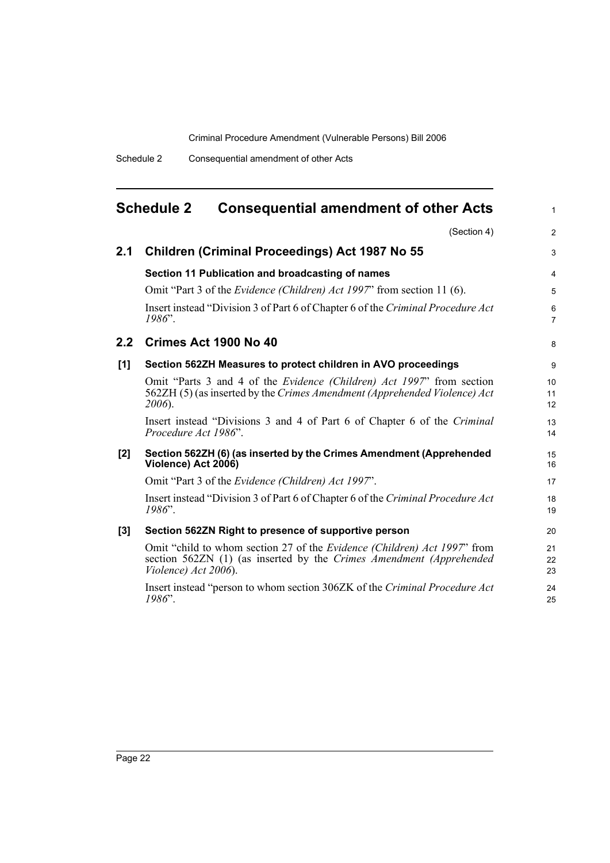<span id="page-27-0"></span>

|     | <b>Schedule 2</b><br><b>Consequential amendment of other Acts</b>                                                                                                               | 1              |
|-----|---------------------------------------------------------------------------------------------------------------------------------------------------------------------------------|----------------|
|     | (Section 4)                                                                                                                                                                     | $\overline{2}$ |
| 2.1 | Children (Criminal Proceedings) Act 1987 No 55                                                                                                                                  | 3              |
|     | Section 11 Publication and broadcasting of names                                                                                                                                | 4              |
|     | Omit "Part 3 of the <i>Evidence (Children) Act 1997</i> " from section 11 (6).                                                                                                  | 5              |
|     | Insert instead "Division 3 of Part 6 of Chapter 6 of the Criminal Procedure Act<br>$1986$ ".                                                                                    | 6<br>7         |
| 2.2 | Crimes Act 1900 No 40                                                                                                                                                           | 8              |
| [1] | Section 562ZH Measures to protect children in AVO proceedings                                                                                                                   | 9              |
|     | Omit "Parts 3 and 4 of the <i>Evidence (Children) Act 1997</i> " from section<br>562ZH (5) (as inserted by the Crimes Amendment (Apprehended Violence) Act<br>2006).            | 10<br>11<br>12 |
|     | Insert instead "Divisions 3 and 4 of Part 6 of Chapter 6 of the Criminal<br>Procedure Act 1986".                                                                                | 13<br>14       |
| [2] | Section 562ZH (6) (as inserted by the Crimes Amendment (Apprehended<br>Violence) Act 2006)                                                                                      | 15<br>16       |
|     | Omit "Part 3 of the Evidence (Children) Act 1997".                                                                                                                              | 17             |
|     | Insert instead "Division 3 of Part 6 of Chapter 6 of the Criminal Procedure Act<br>$1986$ ".                                                                                    | 18<br>19       |
| [3] | Section 562ZN Right to presence of supportive person                                                                                                                            | 20             |
|     | Omit "child to whom section 27 of the <i>Evidence (Children) Act 1997</i> " from<br>section 562ZN (1) (as inserted by the Crimes Amendment (Apprehended<br>Violence) Act 2006). | 21<br>22<br>23 |
|     | Insert instead "person to whom section 306ZK of the Criminal Procedure Act<br>$1986$ ".                                                                                         | 24<br>25       |